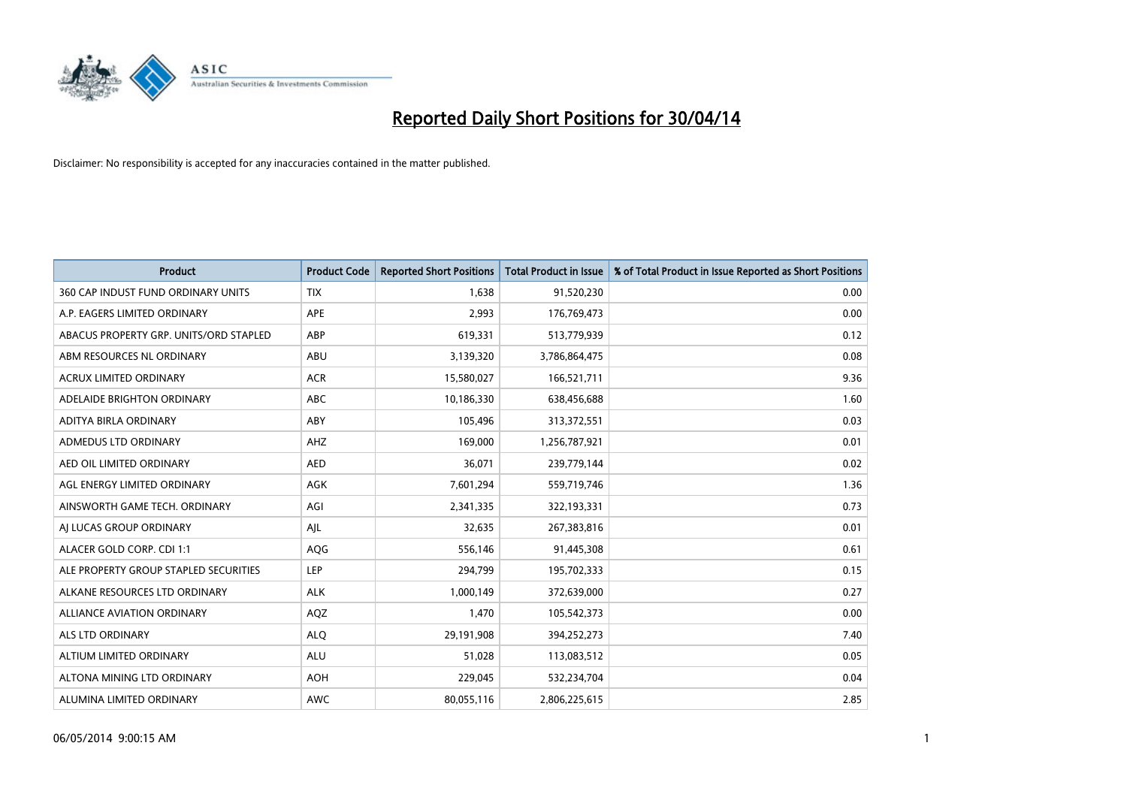

| <b>Product</b>                         | <b>Product Code</b> | <b>Reported Short Positions</b> | <b>Total Product in Issue</b> | % of Total Product in Issue Reported as Short Positions |
|----------------------------------------|---------------------|---------------------------------|-------------------------------|---------------------------------------------------------|
| 360 CAP INDUST FUND ORDINARY UNITS     | <b>TIX</b>          | 1,638                           | 91,520,230                    | 0.00                                                    |
| A.P. EAGERS LIMITED ORDINARY           | APE                 | 2,993                           | 176,769,473                   | 0.00                                                    |
| ABACUS PROPERTY GRP. UNITS/ORD STAPLED | ABP                 | 619,331                         | 513,779,939                   | 0.12                                                    |
| ABM RESOURCES NL ORDINARY              | ABU                 | 3,139,320                       | 3,786,864,475                 | 0.08                                                    |
| <b>ACRUX LIMITED ORDINARY</b>          | <b>ACR</b>          | 15,580,027                      | 166,521,711                   | 9.36                                                    |
| ADELAIDE BRIGHTON ORDINARY             | <b>ABC</b>          | 10,186,330                      | 638,456,688                   | 1.60                                                    |
| ADITYA BIRLA ORDINARY                  | ABY                 | 105,496                         | 313,372,551                   | 0.03                                                    |
| ADMEDUS LTD ORDINARY                   | AHZ                 | 169,000                         | 1,256,787,921                 | 0.01                                                    |
| AED OIL LIMITED ORDINARY               | <b>AED</b>          | 36,071                          | 239,779,144                   | 0.02                                                    |
| AGL ENERGY LIMITED ORDINARY            | <b>AGK</b>          | 7,601,294                       | 559,719,746                   | 1.36                                                    |
| AINSWORTH GAME TECH. ORDINARY          | AGI                 | 2,341,335                       | 322,193,331                   | 0.73                                                    |
| AI LUCAS GROUP ORDINARY                | AJL                 | 32,635                          | 267,383,816                   | 0.01                                                    |
| ALACER GOLD CORP. CDI 1:1              | AQG                 | 556,146                         | 91,445,308                    | 0.61                                                    |
| ALE PROPERTY GROUP STAPLED SECURITIES  | LEP                 | 294,799                         | 195,702,333                   | 0.15                                                    |
| ALKANE RESOURCES LTD ORDINARY          | <b>ALK</b>          | 1,000,149                       | 372,639,000                   | 0.27                                                    |
| ALLIANCE AVIATION ORDINARY             | AQZ                 | 1,470                           | 105,542,373                   | 0.00                                                    |
| ALS LTD ORDINARY                       | <b>ALQ</b>          | 29,191,908                      | 394,252,273                   | 7.40                                                    |
| ALTIUM LIMITED ORDINARY                | ALU                 | 51,028                          | 113,083,512                   | 0.05                                                    |
| ALTONA MINING LTD ORDINARY             | <b>AOH</b>          | 229,045                         | 532,234,704                   | 0.04                                                    |
| ALUMINA LIMITED ORDINARY               | <b>AWC</b>          | 80,055,116                      | 2,806,225,615                 | 2.85                                                    |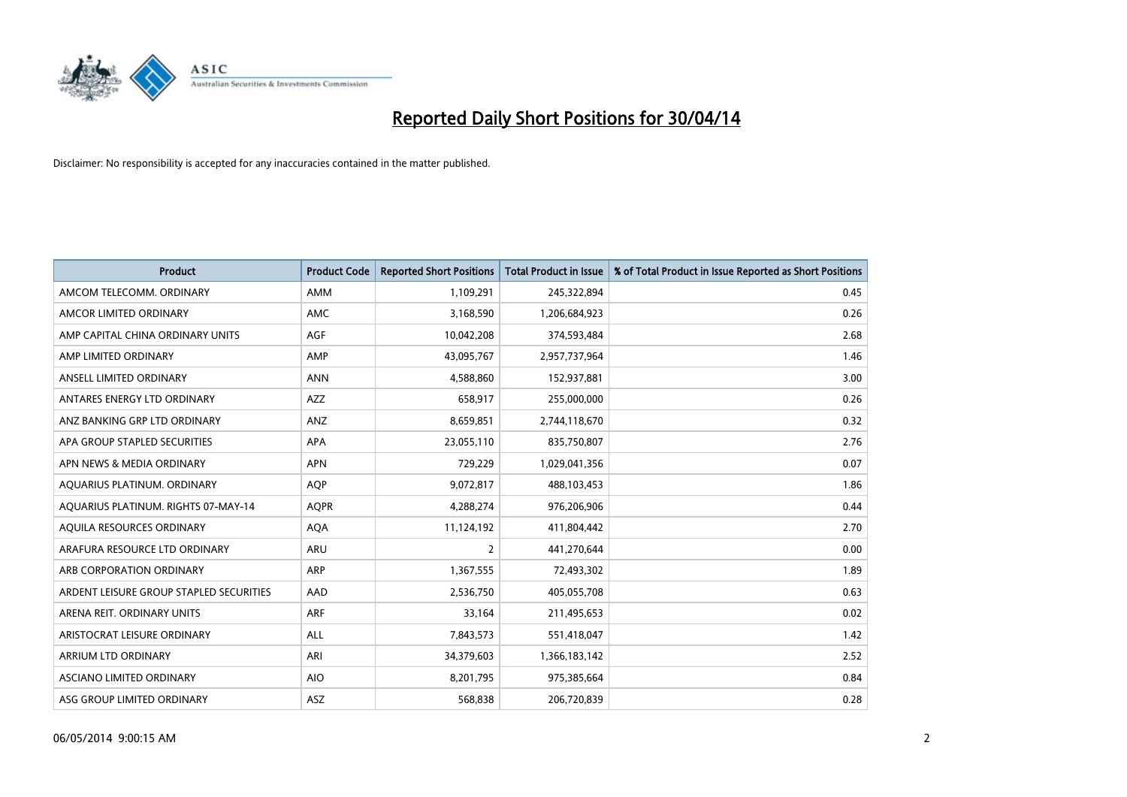

| <b>Product</b>                          | <b>Product Code</b> | <b>Reported Short Positions</b> | <b>Total Product in Issue</b> | % of Total Product in Issue Reported as Short Positions |
|-----------------------------------------|---------------------|---------------------------------|-------------------------------|---------------------------------------------------------|
| AMCOM TELECOMM, ORDINARY                | <b>AMM</b>          | 1,109,291                       | 245,322,894                   | 0.45                                                    |
| AMCOR LIMITED ORDINARY                  | AMC                 | 3,168,590                       | 1,206,684,923                 | 0.26                                                    |
| AMP CAPITAL CHINA ORDINARY UNITS        | AGF                 | 10,042,208                      | 374,593,484                   | 2.68                                                    |
| AMP LIMITED ORDINARY                    | AMP                 | 43,095,767                      | 2,957,737,964                 | 1.46                                                    |
| ANSELL LIMITED ORDINARY                 | <b>ANN</b>          | 4,588,860                       | 152,937,881                   | 3.00                                                    |
| ANTARES ENERGY LTD ORDINARY             | <b>AZZ</b>          | 658,917                         | 255,000,000                   | 0.26                                                    |
| ANZ BANKING GRP LTD ORDINARY            | <b>ANZ</b>          | 8,659,851                       | 2,744,118,670                 | 0.32                                                    |
| APA GROUP STAPLED SECURITIES            | APA                 | 23,055,110                      | 835,750,807                   | 2.76                                                    |
| APN NEWS & MEDIA ORDINARY               | <b>APN</b>          | 729,229                         | 1,029,041,356                 | 0.07                                                    |
| AQUARIUS PLATINUM. ORDINARY             | <b>AOP</b>          | 9,072,817                       | 488,103,453                   | 1.86                                                    |
| AQUARIUS PLATINUM. RIGHTS 07-MAY-14     | <b>AQPR</b>         | 4,288,274                       | 976,206,906                   | 0.44                                                    |
| AQUILA RESOURCES ORDINARY               | <b>AQA</b>          | 11,124,192                      | 411,804,442                   | 2.70                                                    |
| ARAFURA RESOURCE LTD ORDINARY           | ARU                 | $\overline{2}$                  | 441,270,644                   | 0.00                                                    |
| ARB CORPORATION ORDINARY                | ARP                 | 1,367,555                       | 72,493,302                    | 1.89                                                    |
| ARDENT LEISURE GROUP STAPLED SECURITIES | AAD                 | 2,536,750                       | 405,055,708                   | 0.63                                                    |
| ARENA REIT. ORDINARY UNITS              | ARF                 | 33,164                          | 211,495,653                   | 0.02                                                    |
| ARISTOCRAT LEISURE ORDINARY             | ALL                 | 7,843,573                       | 551,418,047                   | 1.42                                                    |
| <b>ARRIUM LTD ORDINARY</b>              | ARI                 | 34,379,603                      | 1,366,183,142                 | 2.52                                                    |
| ASCIANO LIMITED ORDINARY                | <b>AIO</b>          | 8,201,795                       | 975,385,664                   | 0.84                                                    |
| ASG GROUP LIMITED ORDINARY              | ASZ                 | 568,838                         | 206,720,839                   | 0.28                                                    |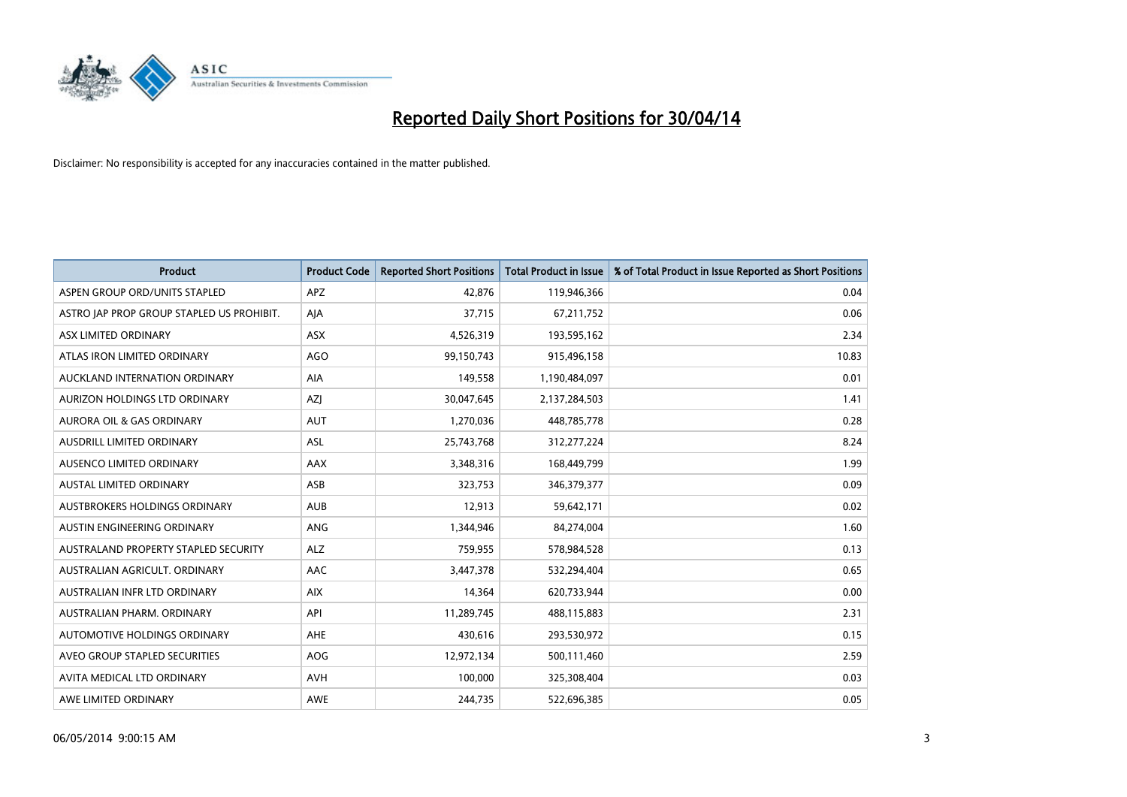

| <b>Product</b>                            | <b>Product Code</b> | <b>Reported Short Positions</b> | <b>Total Product in Issue</b> | % of Total Product in Issue Reported as Short Positions |
|-------------------------------------------|---------------------|---------------------------------|-------------------------------|---------------------------------------------------------|
| ASPEN GROUP ORD/UNITS STAPLED             | <b>APZ</b>          | 42,876                          | 119,946,366                   | 0.04                                                    |
| ASTRO JAP PROP GROUP STAPLED US PROHIBIT. | AJA                 | 37,715                          | 67,211,752                    | 0.06                                                    |
| ASX LIMITED ORDINARY                      | <b>ASX</b>          | 4,526,319                       | 193,595,162                   | 2.34                                                    |
| ATLAS IRON LIMITED ORDINARY               | AGO                 | 99,150,743                      | 915,496,158                   | 10.83                                                   |
| AUCKLAND INTERNATION ORDINARY             | AIA                 | 149,558                         | 1,190,484,097                 | 0.01                                                    |
| AURIZON HOLDINGS LTD ORDINARY             | AZJ                 | 30,047,645                      | 2,137,284,503                 | 1.41                                                    |
| <b>AURORA OIL &amp; GAS ORDINARY</b>      | <b>AUT</b>          | 1,270,036                       | 448,785,778                   | 0.28                                                    |
| AUSDRILL LIMITED ORDINARY                 | ASL                 | 25,743,768                      | 312,277,224                   | 8.24                                                    |
| AUSENCO LIMITED ORDINARY                  | AAX                 | 3,348,316                       | 168,449,799                   | 1.99                                                    |
| <b>AUSTAL LIMITED ORDINARY</b>            | ASB                 | 323,753                         | 346,379,377                   | 0.09                                                    |
| AUSTBROKERS HOLDINGS ORDINARY             | <b>AUB</b>          | 12,913                          | 59,642,171                    | 0.02                                                    |
| AUSTIN ENGINEERING ORDINARY               | ANG                 | 1,344,946                       | 84,274,004                    | 1.60                                                    |
| AUSTRALAND PROPERTY STAPLED SECURITY      | <b>ALZ</b>          | 759,955                         | 578,984,528                   | 0.13                                                    |
| AUSTRALIAN AGRICULT, ORDINARY             | AAC                 | 3,447,378                       | 532,294,404                   | 0.65                                                    |
| AUSTRALIAN INFR LTD ORDINARY              | <b>AIX</b>          | 14,364                          | 620,733,944                   | 0.00                                                    |
| AUSTRALIAN PHARM. ORDINARY                | API                 | 11,289,745                      | 488,115,883                   | 2.31                                                    |
| AUTOMOTIVE HOLDINGS ORDINARY              | AHE                 | 430,616                         | 293,530,972                   | 0.15                                                    |
| AVEO GROUP STAPLED SECURITIES             | <b>AOG</b>          | 12,972,134                      | 500,111,460                   | 2.59                                                    |
| AVITA MEDICAL LTD ORDINARY                | <b>AVH</b>          | 100,000                         | 325,308,404                   | 0.03                                                    |
| AWE LIMITED ORDINARY                      | <b>AWE</b>          | 244,735                         | 522,696,385                   | 0.05                                                    |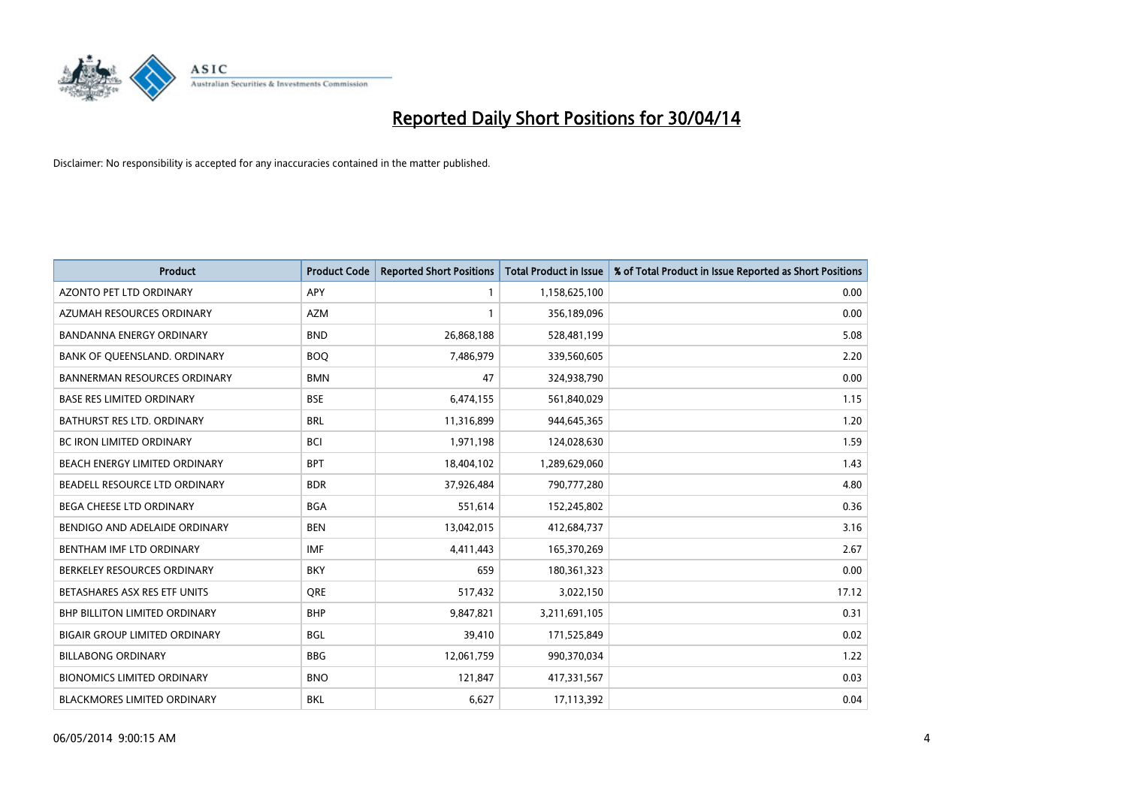

| <b>Product</b>                       | <b>Product Code</b> | <b>Reported Short Positions</b> | <b>Total Product in Issue</b> | % of Total Product in Issue Reported as Short Positions |
|--------------------------------------|---------------------|---------------------------------|-------------------------------|---------------------------------------------------------|
| <b>AZONTO PET LTD ORDINARY</b>       | APY                 | 1                               | 1,158,625,100                 | 0.00                                                    |
| AZUMAH RESOURCES ORDINARY            | <b>AZM</b>          | $\mathbf{1}$                    | 356,189,096                   | 0.00                                                    |
| BANDANNA ENERGY ORDINARY             | <b>BND</b>          | 26,868,188                      | 528,481,199                   | 5.08                                                    |
| BANK OF QUEENSLAND. ORDINARY         | <b>BOQ</b>          | 7,486,979                       | 339,560,605                   | 2.20                                                    |
| <b>BANNERMAN RESOURCES ORDINARY</b>  | <b>BMN</b>          | 47                              | 324,938,790                   | 0.00                                                    |
| <b>BASE RES LIMITED ORDINARY</b>     | <b>BSE</b>          | 6,474,155                       | 561,840,029                   | 1.15                                                    |
| BATHURST RES LTD. ORDINARY           | <b>BRL</b>          | 11,316,899                      | 944,645,365                   | 1.20                                                    |
| BC IRON LIMITED ORDINARY             | <b>BCI</b>          | 1,971,198                       | 124,028,630                   | 1.59                                                    |
| BEACH ENERGY LIMITED ORDINARY        | <b>BPT</b>          | 18,404,102                      | 1,289,629,060                 | 1.43                                                    |
| BEADELL RESOURCE LTD ORDINARY        | <b>BDR</b>          | 37,926,484                      | 790,777,280                   | 4.80                                                    |
| BEGA CHEESE LTD ORDINARY             | <b>BGA</b>          | 551,614                         | 152,245,802                   | 0.36                                                    |
| BENDIGO AND ADELAIDE ORDINARY        | <b>BEN</b>          | 13,042,015                      | 412,684,737                   | 3.16                                                    |
| BENTHAM IMF LTD ORDINARY             | <b>IMF</b>          | 4,411,443                       | 165,370,269                   | 2.67                                                    |
| BERKELEY RESOURCES ORDINARY          | <b>BKY</b>          | 659                             | 180,361,323                   | 0.00                                                    |
| BETASHARES ASX RES ETF UNITS         | <b>ORE</b>          | 517,432                         | 3,022,150                     | 17.12                                                   |
| <b>BHP BILLITON LIMITED ORDINARY</b> | <b>BHP</b>          | 9,847,821                       | 3,211,691,105                 | 0.31                                                    |
| <b>BIGAIR GROUP LIMITED ORDINARY</b> | <b>BGL</b>          | 39,410                          | 171,525,849                   | 0.02                                                    |
| <b>BILLABONG ORDINARY</b>            | <b>BBG</b>          | 12,061,759                      | 990,370,034                   | 1.22                                                    |
| <b>BIONOMICS LIMITED ORDINARY</b>    | <b>BNO</b>          | 121,847                         | 417,331,567                   | 0.03                                                    |
| <b>BLACKMORES LIMITED ORDINARY</b>   | <b>BKL</b>          | 6,627                           | 17,113,392                    | 0.04                                                    |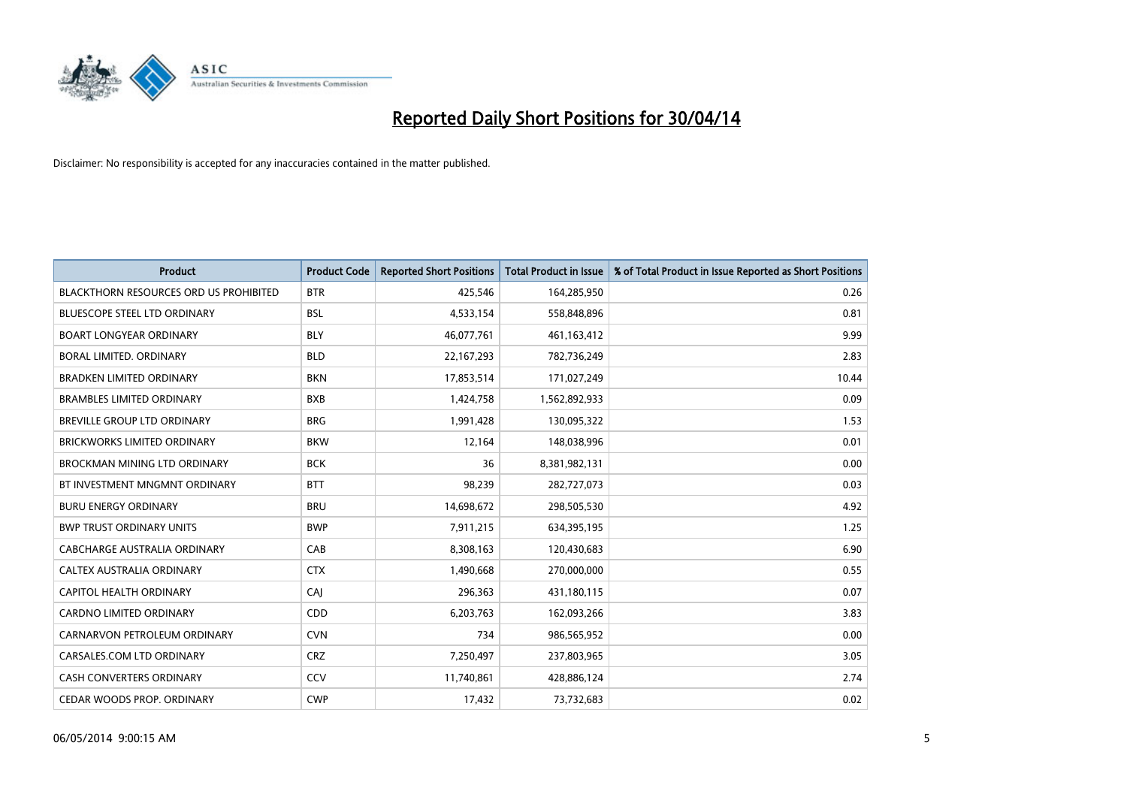

| <b>Product</b>                                | <b>Product Code</b> | <b>Reported Short Positions</b> | <b>Total Product in Issue</b> | % of Total Product in Issue Reported as Short Positions |
|-----------------------------------------------|---------------------|---------------------------------|-------------------------------|---------------------------------------------------------|
| <b>BLACKTHORN RESOURCES ORD US PROHIBITED</b> | <b>BTR</b>          | 425,546                         | 164,285,950                   | 0.26                                                    |
| BLUESCOPE STEEL LTD ORDINARY                  | <b>BSL</b>          | 4,533,154                       | 558,848,896                   | 0.81                                                    |
| <b>BOART LONGYEAR ORDINARY</b>                | <b>BLY</b>          | 46,077,761                      | 461,163,412                   | 9.99                                                    |
| BORAL LIMITED. ORDINARY                       | <b>BLD</b>          | 22,167,293                      | 782,736,249                   | 2.83                                                    |
| <b>BRADKEN LIMITED ORDINARY</b>               | <b>BKN</b>          | 17,853,514                      | 171,027,249                   | 10.44                                                   |
| <b>BRAMBLES LIMITED ORDINARY</b>              | <b>BXB</b>          | 1,424,758                       | 1,562,892,933                 | 0.09                                                    |
| BREVILLE GROUP LTD ORDINARY                   | <b>BRG</b>          | 1,991,428                       | 130,095,322                   | 1.53                                                    |
| <b>BRICKWORKS LIMITED ORDINARY</b>            | <b>BKW</b>          | 12,164                          | 148,038,996                   | 0.01                                                    |
| <b>BROCKMAN MINING LTD ORDINARY</b>           | <b>BCK</b>          | 36                              | 8,381,982,131                 | 0.00                                                    |
| BT INVESTMENT MNGMNT ORDINARY                 | <b>BTT</b>          | 98,239                          | 282,727,073                   | 0.03                                                    |
| <b>BURU ENERGY ORDINARY</b>                   | <b>BRU</b>          | 14,698,672                      | 298,505,530                   | 4.92                                                    |
| <b>BWP TRUST ORDINARY UNITS</b>               | <b>BWP</b>          | 7,911,215                       | 634,395,195                   | 1.25                                                    |
| CABCHARGE AUSTRALIA ORDINARY                  | CAB                 | 8,308,163                       | 120,430,683                   | 6.90                                                    |
| <b>CALTEX AUSTRALIA ORDINARY</b>              | <b>CTX</b>          | 1,490,668                       | 270,000,000                   | 0.55                                                    |
| <b>CAPITOL HEALTH ORDINARY</b>                | CAJ                 | 296,363                         | 431,180,115                   | 0.07                                                    |
| <b>CARDNO LIMITED ORDINARY</b>                | CDD                 | 6,203,763                       | 162,093,266                   | 3.83                                                    |
| CARNARVON PETROLEUM ORDINARY                  | <b>CVN</b>          | 734                             | 986,565,952                   | 0.00                                                    |
| CARSALES.COM LTD ORDINARY                     | <b>CRZ</b>          | 7,250,497                       | 237,803,965                   | 3.05                                                    |
| <b>CASH CONVERTERS ORDINARY</b>               | CCV                 | 11,740,861                      | 428,886,124                   | 2.74                                                    |
| CEDAR WOODS PROP. ORDINARY                    | <b>CWP</b>          | 17,432                          | 73,732,683                    | 0.02                                                    |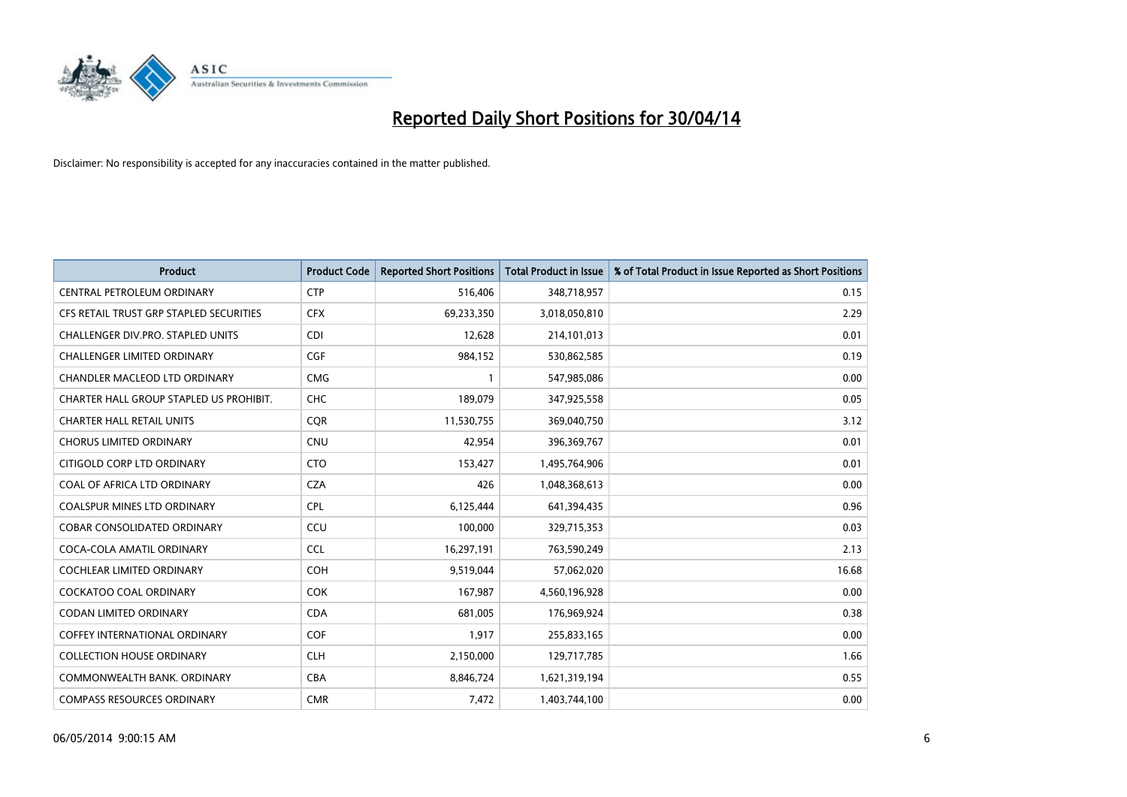

| <b>Product</b>                          | <b>Product Code</b> | <b>Reported Short Positions</b> | <b>Total Product in Issue</b> | % of Total Product in Issue Reported as Short Positions |
|-----------------------------------------|---------------------|---------------------------------|-------------------------------|---------------------------------------------------------|
| CENTRAL PETROLEUM ORDINARY              | <b>CTP</b>          | 516,406                         | 348,718,957                   | 0.15                                                    |
| CFS RETAIL TRUST GRP STAPLED SECURITIES | <b>CFX</b>          | 69,233,350                      | 3,018,050,810                 | 2.29                                                    |
| CHALLENGER DIV.PRO. STAPLED UNITS       | <b>CDI</b>          | 12,628                          | 214,101,013                   | 0.01                                                    |
| <b>CHALLENGER LIMITED ORDINARY</b>      | <b>CGF</b>          | 984,152                         | 530,862,585                   | 0.19                                                    |
| CHANDLER MACLEOD LTD ORDINARY           | <b>CMG</b>          | $\mathbf{1}$                    | 547,985,086                   | 0.00                                                    |
| CHARTER HALL GROUP STAPLED US PROHIBIT. | CHC                 | 189,079                         | 347,925,558                   | 0.05                                                    |
| <b>CHARTER HALL RETAIL UNITS</b>        | <b>CQR</b>          | 11,530,755                      | 369,040,750                   | 3.12                                                    |
| <b>CHORUS LIMITED ORDINARY</b>          | <b>CNU</b>          | 42,954                          | 396,369,767                   | 0.01                                                    |
| CITIGOLD CORP LTD ORDINARY              | <b>CTO</b>          | 153,427                         | 1,495,764,906                 | 0.01                                                    |
| COAL OF AFRICA LTD ORDINARY             | <b>CZA</b>          | 426                             | 1,048,368,613                 | 0.00                                                    |
| COALSPUR MINES LTD ORDINARY             | <b>CPL</b>          | 6,125,444                       | 641,394,435                   | 0.96                                                    |
| <b>COBAR CONSOLIDATED ORDINARY</b>      | CCU                 | 100,000                         | 329,715,353                   | 0.03                                                    |
| COCA-COLA AMATIL ORDINARY               | <b>CCL</b>          | 16,297,191                      | 763,590,249                   | 2.13                                                    |
| <b>COCHLEAR LIMITED ORDINARY</b>        | <b>COH</b>          | 9,519,044                       | 57,062,020                    | 16.68                                                   |
| <b>COCKATOO COAL ORDINARY</b>           | COK                 | 167,987                         | 4,560,196,928                 | 0.00                                                    |
| <b>CODAN LIMITED ORDINARY</b>           | <b>CDA</b>          | 681,005                         | 176,969,924                   | 0.38                                                    |
| <b>COFFEY INTERNATIONAL ORDINARY</b>    | <b>COF</b>          | 1,917                           | 255,833,165                   | 0.00                                                    |
| <b>COLLECTION HOUSE ORDINARY</b>        | <b>CLH</b>          | 2,150,000                       | 129,717,785                   | 1.66                                                    |
| COMMONWEALTH BANK, ORDINARY             | <b>CBA</b>          | 8,846,724                       | 1,621,319,194                 | 0.55                                                    |
| <b>COMPASS RESOURCES ORDINARY</b>       | <b>CMR</b>          | 7,472                           | 1,403,744,100                 | 0.00                                                    |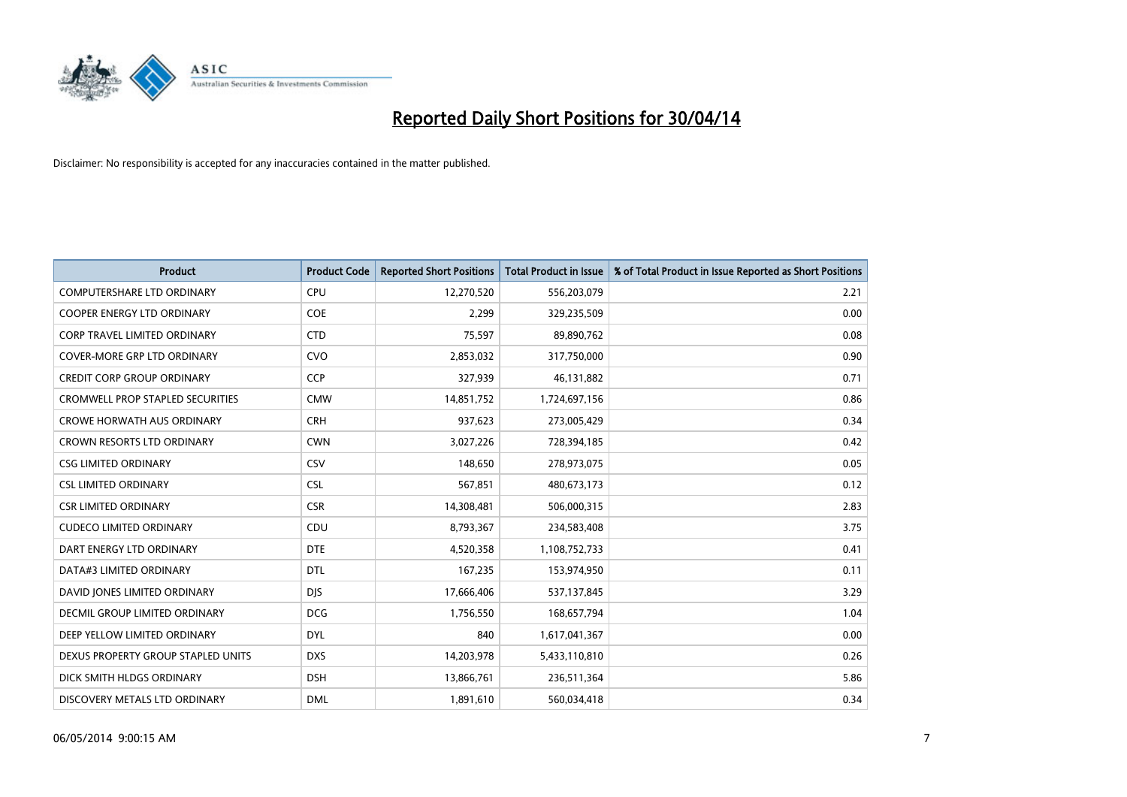

| <b>Product</b>                          | <b>Product Code</b> | <b>Reported Short Positions</b> | <b>Total Product in Issue</b> | % of Total Product in Issue Reported as Short Positions |
|-----------------------------------------|---------------------|---------------------------------|-------------------------------|---------------------------------------------------------|
| <b>COMPUTERSHARE LTD ORDINARY</b>       | <b>CPU</b>          | 12,270,520                      | 556,203,079                   | 2.21                                                    |
| COOPER ENERGY LTD ORDINARY              | <b>COE</b>          | 2,299                           | 329,235,509                   | 0.00                                                    |
| <b>CORP TRAVEL LIMITED ORDINARY</b>     | <b>CTD</b>          | 75,597                          | 89,890,762                    | 0.08                                                    |
| COVER-MORE GRP LTD ORDINARY             | <b>CVO</b>          | 2,853,032                       | 317,750,000                   | 0.90                                                    |
| <b>CREDIT CORP GROUP ORDINARY</b>       | <b>CCP</b>          | 327,939                         | 46,131,882                    | 0.71                                                    |
| <b>CROMWELL PROP STAPLED SECURITIES</b> | <b>CMW</b>          | 14,851,752                      | 1,724,697,156                 | 0.86                                                    |
| <b>CROWE HORWATH AUS ORDINARY</b>       | <b>CRH</b>          | 937,623                         | 273,005,429                   | 0.34                                                    |
| CROWN RESORTS LTD ORDINARY              | <b>CWN</b>          | 3,027,226                       | 728,394,185                   | 0.42                                                    |
| <b>CSG LIMITED ORDINARY</b>             | CSV                 | 148,650                         | 278,973,075                   | 0.05                                                    |
| <b>CSL LIMITED ORDINARY</b>             | <b>CSL</b>          | 567,851                         | 480,673,173                   | 0.12                                                    |
| <b>CSR LIMITED ORDINARY</b>             | <b>CSR</b>          | 14,308,481                      | 506,000,315                   | 2.83                                                    |
| <b>CUDECO LIMITED ORDINARY</b>          | CDU                 | 8,793,367                       | 234,583,408                   | 3.75                                                    |
| DART ENERGY LTD ORDINARY                | <b>DTE</b>          | 4,520,358                       | 1,108,752,733                 | 0.41                                                    |
| DATA#3 LIMITED ORDINARY                 | DTL                 | 167,235                         | 153,974,950                   | 0.11                                                    |
| DAVID JONES LIMITED ORDINARY            | <b>DJS</b>          | 17,666,406                      | 537,137,845                   | 3.29                                                    |
| DECMIL GROUP LIMITED ORDINARY           | <b>DCG</b>          | 1,756,550                       | 168,657,794                   | 1.04                                                    |
| DEEP YELLOW LIMITED ORDINARY            | <b>DYL</b>          | 840                             | 1,617,041,367                 | 0.00                                                    |
| DEXUS PROPERTY GROUP STAPLED UNITS      | <b>DXS</b>          | 14,203,978                      | 5,433,110,810                 | 0.26                                                    |
| DICK SMITH HLDGS ORDINARY               | <b>DSH</b>          | 13,866,761                      | 236,511,364                   | 5.86                                                    |
| DISCOVERY METALS LTD ORDINARY           | <b>DML</b>          | 1,891,610                       | 560,034,418                   | 0.34                                                    |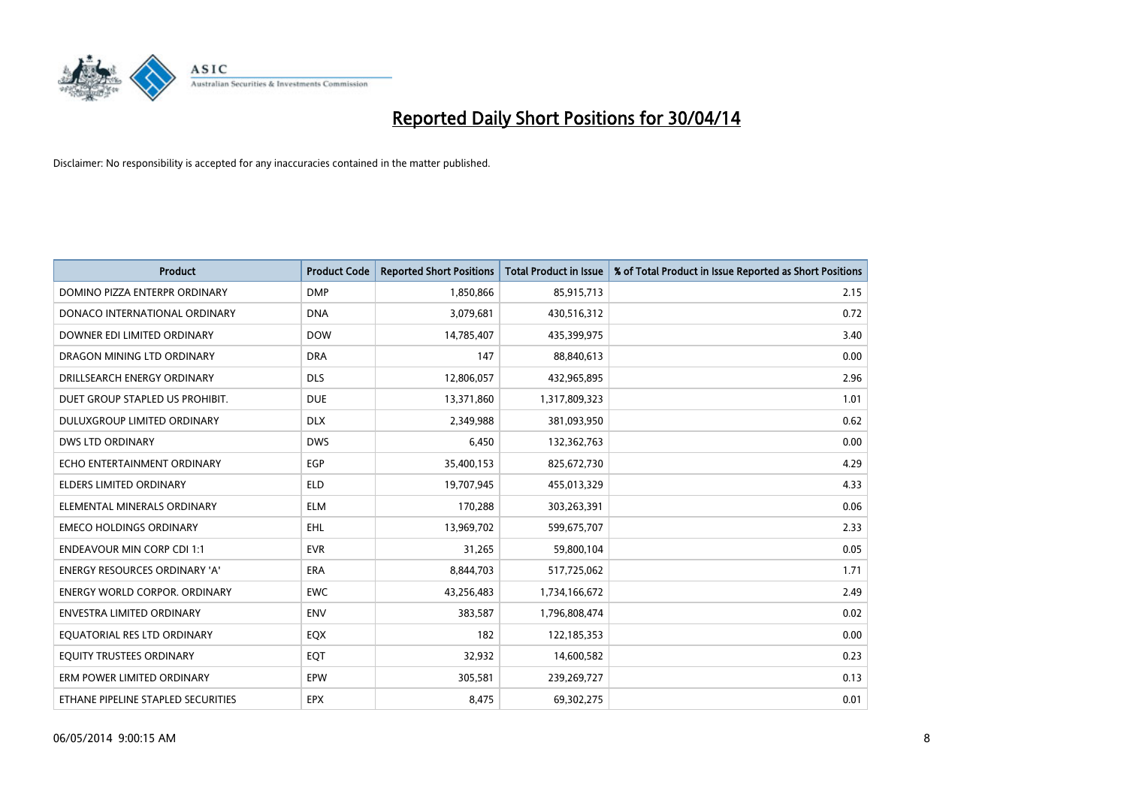

| <b>Product</b>                       | <b>Product Code</b> | <b>Reported Short Positions</b> | <b>Total Product in Issue</b> | % of Total Product in Issue Reported as Short Positions |
|--------------------------------------|---------------------|---------------------------------|-------------------------------|---------------------------------------------------------|
| DOMINO PIZZA ENTERPR ORDINARY        | <b>DMP</b>          | 1,850,866                       | 85,915,713                    | 2.15                                                    |
| DONACO INTERNATIONAL ORDINARY        | <b>DNA</b>          | 3,079,681                       | 430,516,312                   | 0.72                                                    |
| DOWNER EDI LIMITED ORDINARY          | <b>DOW</b>          | 14,785,407                      | 435,399,975                   | 3.40                                                    |
| DRAGON MINING LTD ORDINARY           | <b>DRA</b>          | 147                             | 88,840,613                    | 0.00                                                    |
| DRILLSEARCH ENERGY ORDINARY          | <b>DLS</b>          | 12,806,057                      | 432,965,895                   | 2.96                                                    |
| DUET GROUP STAPLED US PROHIBIT.      | <b>DUE</b>          | 13,371,860                      | 1,317,809,323                 | 1.01                                                    |
| <b>DULUXGROUP LIMITED ORDINARY</b>   | <b>DLX</b>          | 2,349,988                       | 381,093,950                   | 0.62                                                    |
| <b>DWS LTD ORDINARY</b>              | <b>DWS</b>          | 6,450                           | 132,362,763                   | 0.00                                                    |
| ECHO ENTERTAINMENT ORDINARY          | <b>EGP</b>          | 35,400,153                      | 825,672,730                   | 4.29                                                    |
| <b>ELDERS LIMITED ORDINARY</b>       | <b>ELD</b>          | 19,707,945                      | 455,013,329                   | 4.33                                                    |
| ELEMENTAL MINERALS ORDINARY          | <b>ELM</b>          | 170,288                         | 303,263,391                   | 0.06                                                    |
| <b>EMECO HOLDINGS ORDINARY</b>       | <b>EHL</b>          | 13,969,702                      | 599,675,707                   | 2.33                                                    |
| <b>ENDEAVOUR MIN CORP CDI 1:1</b>    | <b>EVR</b>          | 31,265                          | 59,800,104                    | 0.05                                                    |
| <b>ENERGY RESOURCES ORDINARY 'A'</b> | <b>ERA</b>          | 8,844,703                       | 517,725,062                   | 1.71                                                    |
| <b>ENERGY WORLD CORPOR, ORDINARY</b> | <b>EWC</b>          | 43,256,483                      | 1,734,166,672                 | 2.49                                                    |
| <b>ENVESTRA LIMITED ORDINARY</b>     | <b>ENV</b>          | 383,587                         | 1,796,808,474                 | 0.02                                                    |
| EQUATORIAL RES LTD ORDINARY          | EQX                 | 182                             | 122,185,353                   | 0.00                                                    |
| EQUITY TRUSTEES ORDINARY             | EQT                 | 32,932                          | 14,600,582                    | 0.23                                                    |
| ERM POWER LIMITED ORDINARY           | EPW                 | 305,581                         | 239,269,727                   | 0.13                                                    |
| ETHANE PIPELINE STAPLED SECURITIES   | <b>EPX</b>          | 8,475                           | 69,302,275                    | 0.01                                                    |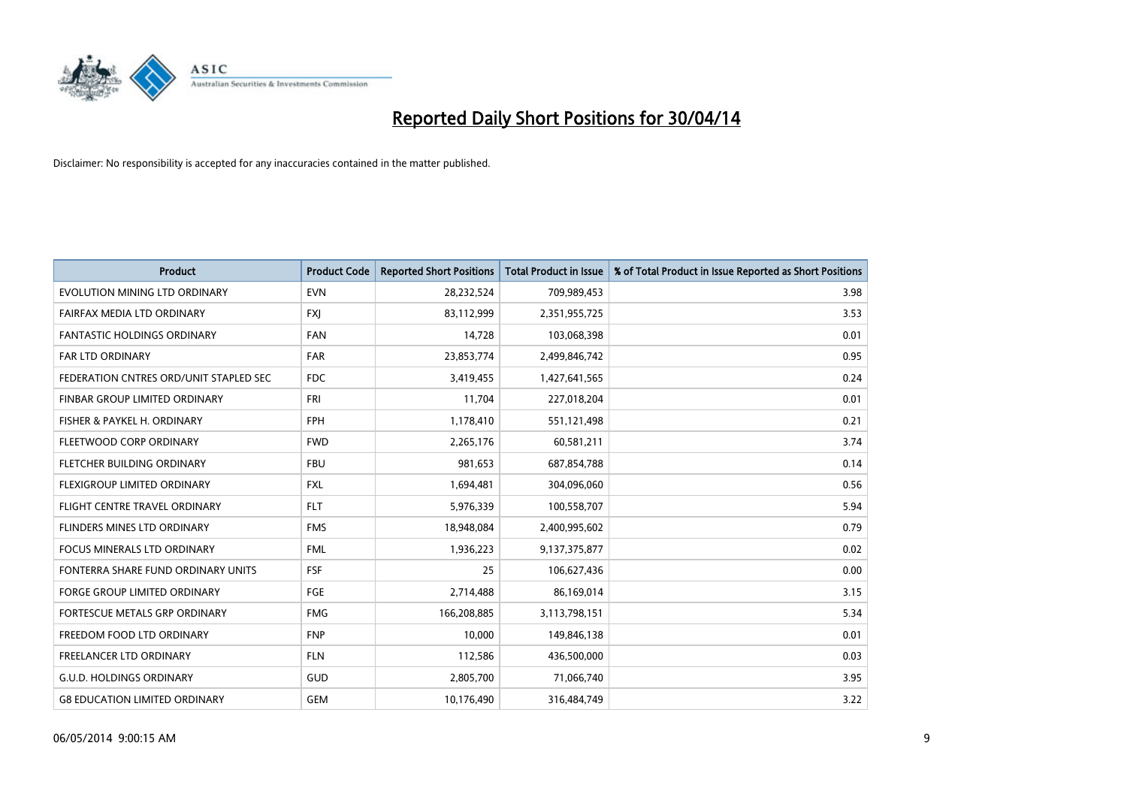

| <b>Product</b>                         | <b>Product Code</b> | <b>Reported Short Positions</b> | <b>Total Product in Issue</b> | % of Total Product in Issue Reported as Short Positions |
|----------------------------------------|---------------------|---------------------------------|-------------------------------|---------------------------------------------------------|
| EVOLUTION MINING LTD ORDINARY          | <b>EVN</b>          | 28,232,524                      | 709,989,453                   | 3.98                                                    |
| FAIRFAX MEDIA LTD ORDINARY             | <b>FXJ</b>          | 83,112,999                      | 2,351,955,725                 | 3.53                                                    |
| <b>FANTASTIC HOLDINGS ORDINARY</b>     | <b>FAN</b>          | 14,728                          | 103,068,398                   | 0.01                                                    |
| FAR LTD ORDINARY                       | <b>FAR</b>          | 23,853,774                      | 2,499,846,742                 | 0.95                                                    |
| FEDERATION CNTRES ORD/UNIT STAPLED SEC | <b>FDC</b>          | 3,419,455                       | 1,427,641,565                 | 0.24                                                    |
| FINBAR GROUP LIMITED ORDINARY          | <b>FRI</b>          | 11,704                          | 227,018,204                   | 0.01                                                    |
| FISHER & PAYKEL H. ORDINARY            | <b>FPH</b>          | 1,178,410                       | 551,121,498                   | 0.21                                                    |
| FLEETWOOD CORP ORDINARY                | <b>FWD</b>          | 2,265,176                       | 60,581,211                    | 3.74                                                    |
| FLETCHER BUILDING ORDINARY             | <b>FBU</b>          | 981,653                         | 687,854,788                   | 0.14                                                    |
| FLEXIGROUP LIMITED ORDINARY            | <b>FXL</b>          | 1,694,481                       | 304,096,060                   | 0.56                                                    |
| FLIGHT CENTRE TRAVEL ORDINARY          | <b>FLT</b>          | 5,976,339                       | 100,558,707                   | 5.94                                                    |
| FLINDERS MINES LTD ORDINARY            | <b>FMS</b>          | 18,948,084                      | 2,400,995,602                 | 0.79                                                    |
| <b>FOCUS MINERALS LTD ORDINARY</b>     | <b>FML</b>          | 1,936,223                       | 9,137,375,877                 | 0.02                                                    |
| FONTERRA SHARE FUND ORDINARY UNITS     | <b>FSF</b>          | 25                              | 106,627,436                   | 0.00                                                    |
| <b>FORGE GROUP LIMITED ORDINARY</b>    | FGE                 | 2,714,488                       | 86,169,014                    | 3.15                                                    |
| FORTESCUE METALS GRP ORDINARY          | <b>FMG</b>          | 166,208,885                     | 3,113,798,151                 | 5.34                                                    |
| FREEDOM FOOD LTD ORDINARY              | <b>FNP</b>          | 10,000                          | 149,846,138                   | 0.01                                                    |
| <b>FREELANCER LTD ORDINARY</b>         | <b>FLN</b>          | 112,586                         | 436,500,000                   | 0.03                                                    |
| <b>G.U.D. HOLDINGS ORDINARY</b>        | GUD                 | 2,805,700                       | 71,066,740                    | 3.95                                                    |
| <b>G8 EDUCATION LIMITED ORDINARY</b>   | <b>GEM</b>          | 10,176,490                      | 316,484,749                   | 3.22                                                    |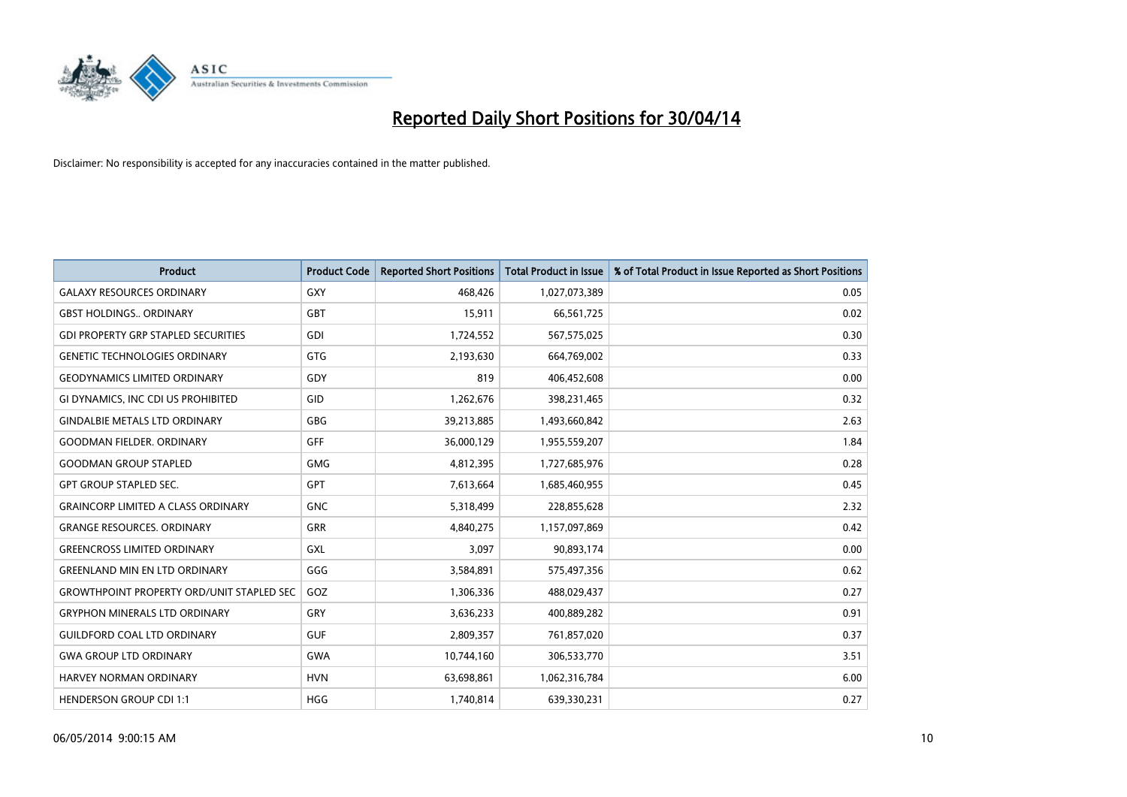

| Product                                          | <b>Product Code</b> | <b>Reported Short Positions</b> | <b>Total Product in Issue</b> | % of Total Product in Issue Reported as Short Positions |
|--------------------------------------------------|---------------------|---------------------------------|-------------------------------|---------------------------------------------------------|
| <b>GALAXY RESOURCES ORDINARY</b>                 | GXY                 | 468,426                         | 1,027,073,389                 | 0.05                                                    |
| <b>GBST HOLDINGS., ORDINARY</b>                  | <b>GBT</b>          | 15,911                          | 66,561,725                    | 0.02                                                    |
| <b>GDI PROPERTY GRP STAPLED SECURITIES</b>       | <b>GDI</b>          | 1,724,552                       | 567,575,025                   | 0.30                                                    |
| <b>GENETIC TECHNOLOGIES ORDINARY</b>             | GTG                 | 2,193,630                       | 664,769,002                   | 0.33                                                    |
| <b>GEODYNAMICS LIMITED ORDINARY</b>              | GDY                 | 819                             | 406,452,608                   | 0.00                                                    |
| GI DYNAMICS, INC CDI US PROHIBITED               | GID                 | 1,262,676                       | 398,231,465                   | 0.32                                                    |
| <b>GINDALBIE METALS LTD ORDINARY</b>             | GBG                 | 39,213,885                      | 1,493,660,842                 | 2.63                                                    |
| <b>GOODMAN FIELDER, ORDINARY</b>                 | GFF                 | 36,000,129                      | 1,955,559,207                 | 1.84                                                    |
| <b>GOODMAN GROUP STAPLED</b>                     | <b>GMG</b>          | 4,812,395                       | 1,727,685,976                 | 0.28                                                    |
| <b>GPT GROUP STAPLED SEC.</b>                    | <b>GPT</b>          | 7,613,664                       | 1,685,460,955                 | 0.45                                                    |
| <b>GRAINCORP LIMITED A CLASS ORDINARY</b>        | <b>GNC</b>          | 5,318,499                       | 228,855,628                   | 2.32                                                    |
| <b>GRANGE RESOURCES, ORDINARY</b>                | GRR                 | 4,840,275                       | 1,157,097,869                 | 0.42                                                    |
| <b>GREENCROSS LIMITED ORDINARY</b>               | GXL                 | 3,097                           | 90,893,174                    | 0.00                                                    |
| <b>GREENLAND MIN EN LTD ORDINARY</b>             | GGG                 | 3,584,891                       | 575,497,356                   | 0.62                                                    |
| <b>GROWTHPOINT PROPERTY ORD/UNIT STAPLED SEC</b> | GOZ                 | 1,306,336                       | 488,029,437                   | 0.27                                                    |
| <b>GRYPHON MINERALS LTD ORDINARY</b>             | GRY                 | 3,636,233                       | 400,889,282                   | 0.91                                                    |
| <b>GUILDFORD COAL LTD ORDINARY</b>               | <b>GUF</b>          | 2,809,357                       | 761,857,020                   | 0.37                                                    |
| <b>GWA GROUP LTD ORDINARY</b>                    | <b>GWA</b>          | 10,744,160                      | 306,533,770                   | 3.51                                                    |
| HARVEY NORMAN ORDINARY                           | <b>HVN</b>          | 63,698,861                      | 1,062,316,784                 | 6.00                                                    |
| <b>HENDERSON GROUP CDI 1:1</b>                   | <b>HGG</b>          | 1,740,814                       | 639,330,231                   | 0.27                                                    |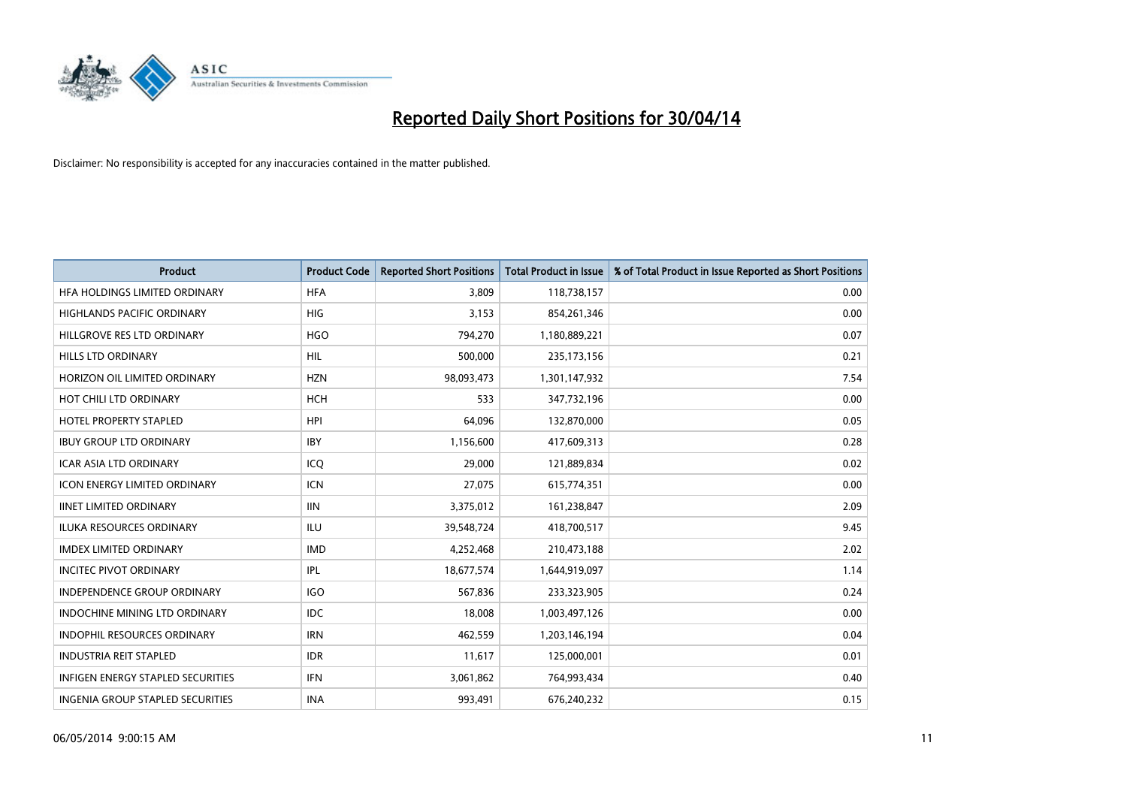

| Product                                  | <b>Product Code</b> | <b>Reported Short Positions</b> | <b>Total Product in Issue</b> | % of Total Product in Issue Reported as Short Positions |
|------------------------------------------|---------------------|---------------------------------|-------------------------------|---------------------------------------------------------|
| HFA HOLDINGS LIMITED ORDINARY            | <b>HFA</b>          | 3,809                           | 118,738,157                   | 0.00                                                    |
| HIGHLANDS PACIFIC ORDINARY               | <b>HIG</b>          | 3,153                           | 854,261,346                   | 0.00                                                    |
| HILLGROVE RES LTD ORDINARY               | <b>HGO</b>          | 794,270                         | 1,180,889,221                 | 0.07                                                    |
| <b>HILLS LTD ORDINARY</b>                | <b>HIL</b>          | 500,000                         | 235, 173, 156                 | 0.21                                                    |
| HORIZON OIL LIMITED ORDINARY             | <b>HZN</b>          | 98,093,473                      | 1,301,147,932                 | 7.54                                                    |
| HOT CHILI LTD ORDINARY                   | <b>HCH</b>          | 533                             | 347,732,196                   | 0.00                                                    |
| <b>HOTEL PROPERTY STAPLED</b>            | <b>HPI</b>          | 64,096                          | 132,870,000                   | 0.05                                                    |
| <b>IBUY GROUP LTD ORDINARY</b>           | <b>IBY</b>          | 1,156,600                       | 417,609,313                   | 0.28                                                    |
| <b>ICAR ASIA LTD ORDINARY</b>            | ICQ                 | 29,000                          | 121,889,834                   | 0.02                                                    |
| <b>ICON ENERGY LIMITED ORDINARY</b>      | <b>ICN</b>          | 27,075                          | 615,774,351                   | 0.00                                                    |
| <b>IINET LIMITED ORDINARY</b>            | <b>IIN</b>          | 3,375,012                       | 161,238,847                   | 2.09                                                    |
| ILUKA RESOURCES ORDINARY                 | ILU                 | 39,548,724                      | 418,700,517                   | 9.45                                                    |
| <b>IMDEX LIMITED ORDINARY</b>            | <b>IMD</b>          | 4,252,468                       | 210,473,188                   | 2.02                                                    |
| <b>INCITEC PIVOT ORDINARY</b>            | IPL                 | 18,677,574                      | 1,644,919,097                 | 1.14                                                    |
| <b>INDEPENDENCE GROUP ORDINARY</b>       | <b>IGO</b>          | 567,836                         | 233,323,905                   | 0.24                                                    |
| <b>INDOCHINE MINING LTD ORDINARY</b>     | IDC                 | 18,008                          | 1,003,497,126                 | 0.00                                                    |
| INDOPHIL RESOURCES ORDINARY              | <b>IRN</b>          | 462,559                         | 1,203,146,194                 | 0.04                                                    |
| <b>INDUSTRIA REIT STAPLED</b>            | <b>IDR</b>          | 11,617                          | 125,000,001                   | 0.01                                                    |
| <b>INFIGEN ENERGY STAPLED SECURITIES</b> | <b>IFN</b>          | 3,061,862                       | 764,993,434                   | 0.40                                                    |
| INGENIA GROUP STAPLED SECURITIES         | <b>INA</b>          | 993,491                         | 676,240,232                   | 0.15                                                    |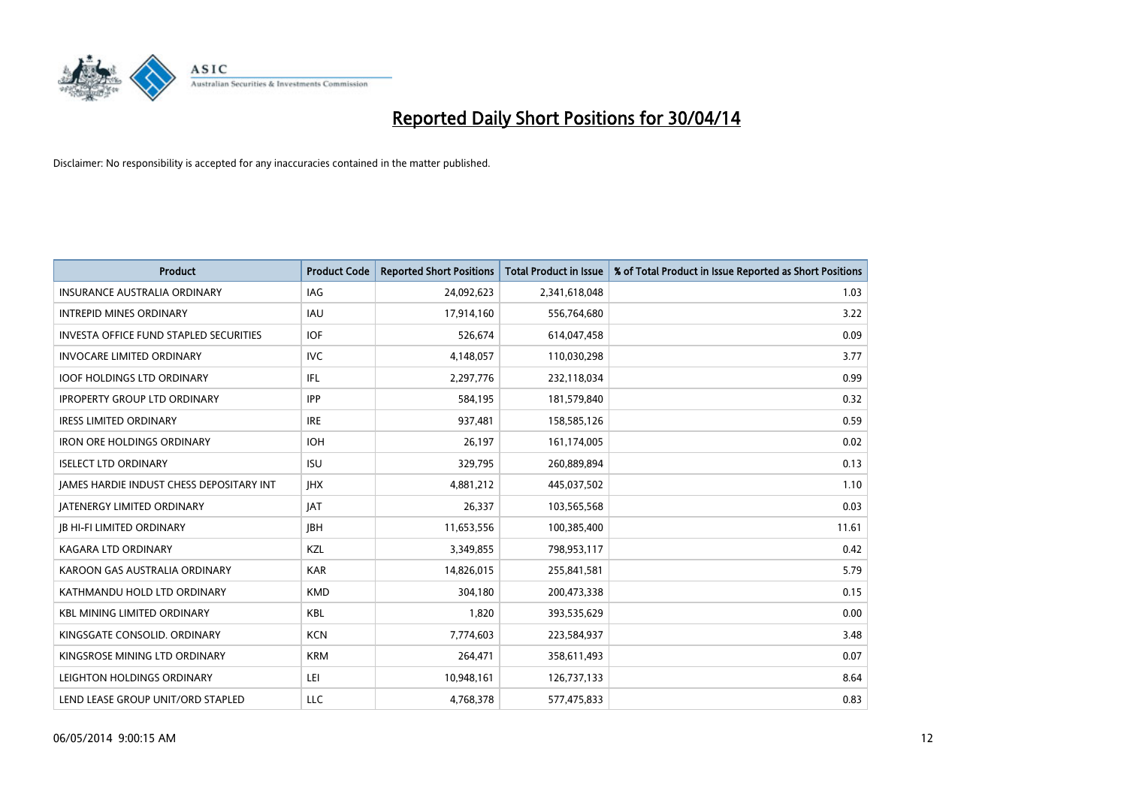

| <b>Product</b>                                  | <b>Product Code</b> | <b>Reported Short Positions</b> | <b>Total Product in Issue</b> | % of Total Product in Issue Reported as Short Positions |
|-------------------------------------------------|---------------------|---------------------------------|-------------------------------|---------------------------------------------------------|
| <b>INSURANCE AUSTRALIA ORDINARY</b>             | IAG                 | 24,092,623                      | 2,341,618,048                 | 1.03                                                    |
| <b>INTREPID MINES ORDINARY</b>                  | <b>IAU</b>          | 17,914,160                      | 556,764,680                   | 3.22                                                    |
| <b>INVESTA OFFICE FUND STAPLED SECURITIES</b>   | <b>IOF</b>          | 526,674                         | 614,047,458                   | 0.09                                                    |
| <b>INVOCARE LIMITED ORDINARY</b>                | <b>IVC</b>          | 4,148,057                       | 110,030,298                   | 3.77                                                    |
| <b>IOOF HOLDINGS LTD ORDINARY</b>               | IFL                 | 2,297,776                       | 232,118,034                   | 0.99                                                    |
| <b>IPROPERTY GROUP LTD ORDINARY</b>             | <b>IPP</b>          | 584,195                         | 181,579,840                   | 0.32                                                    |
| <b>IRESS LIMITED ORDINARY</b>                   | <b>IRE</b>          | 937,481                         | 158,585,126                   | 0.59                                                    |
| <b>IRON ORE HOLDINGS ORDINARY</b>               | <b>IOH</b>          | 26,197                          | 161,174,005                   | 0.02                                                    |
| <b>ISELECT LTD ORDINARY</b>                     | <b>ISU</b>          | 329,795                         | 260,889,894                   | 0.13                                                    |
| <b>IAMES HARDIE INDUST CHESS DEPOSITARY INT</b> | <b>IHX</b>          | 4,881,212                       | 445,037,502                   | 1.10                                                    |
| <b>JATENERGY LIMITED ORDINARY</b>               | JAT                 | 26,337                          | 103,565,568                   | 0.03                                                    |
| <b>IB HI-FI LIMITED ORDINARY</b>                | <b>IBH</b>          | 11,653,556                      | 100,385,400                   | 11.61                                                   |
| <b>KAGARA LTD ORDINARY</b>                      | KZL                 | 3,349,855                       | 798,953,117                   | 0.42                                                    |
| KAROON GAS AUSTRALIA ORDINARY                   | <b>KAR</b>          | 14,826,015                      | 255,841,581                   | 5.79                                                    |
| KATHMANDU HOLD LTD ORDINARY                     | <b>KMD</b>          | 304,180                         | 200,473,338                   | 0.15                                                    |
| <b>KBL MINING LIMITED ORDINARY</b>              | <b>KBL</b>          | 1,820                           | 393,535,629                   | 0.00                                                    |
| KINGSGATE CONSOLID. ORDINARY                    | <b>KCN</b>          | 7,774,603                       | 223,584,937                   | 3.48                                                    |
| KINGSROSE MINING LTD ORDINARY                   | <b>KRM</b>          | 264,471                         | 358,611,493                   | 0.07                                                    |
| LEIGHTON HOLDINGS ORDINARY                      | LEI                 | 10,948,161                      | 126,737,133                   | 8.64                                                    |
| LEND LEASE GROUP UNIT/ORD STAPLED               | LLC                 | 4,768,378                       | 577,475,833                   | 0.83                                                    |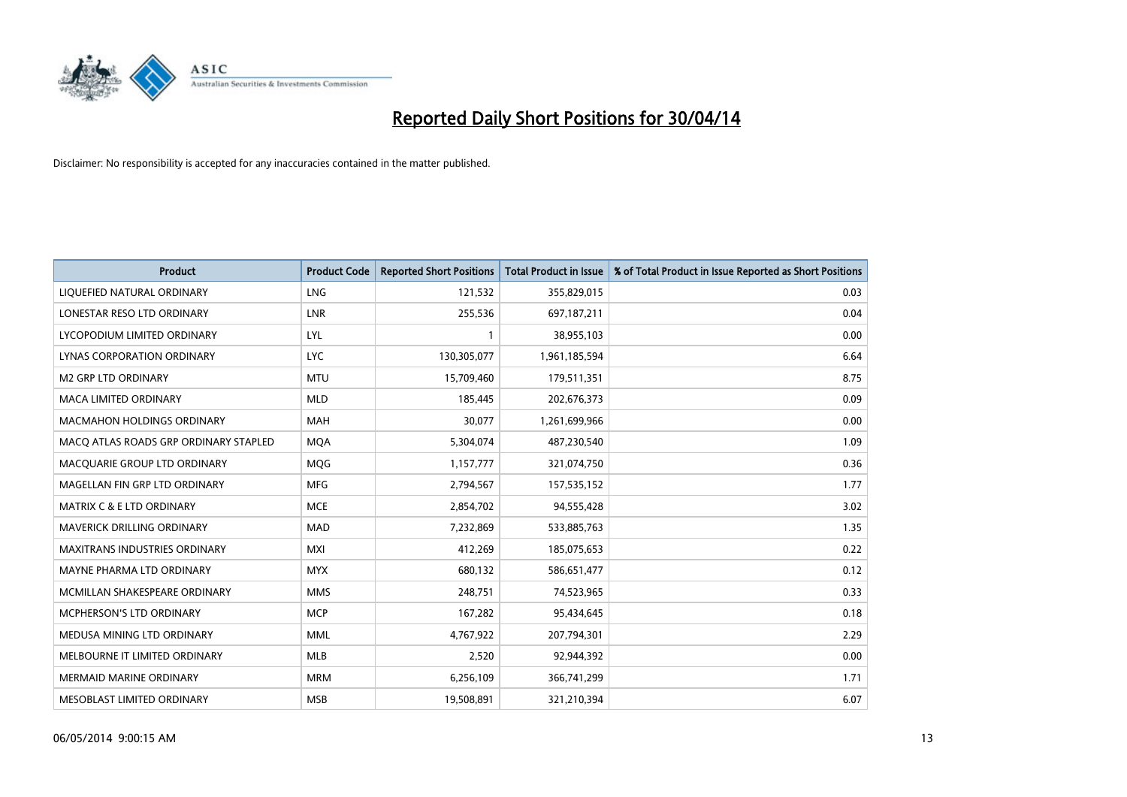

| <b>Product</b>                        | <b>Product Code</b> | <b>Reported Short Positions</b> | <b>Total Product in Issue</b> | % of Total Product in Issue Reported as Short Positions |
|---------------------------------------|---------------------|---------------------------------|-------------------------------|---------------------------------------------------------|
| LIQUEFIED NATURAL ORDINARY            | <b>LNG</b>          | 121,532                         | 355,829,015                   | 0.03                                                    |
| LONESTAR RESO LTD ORDINARY            | <b>LNR</b>          | 255,536                         | 697,187,211                   | 0.04                                                    |
| LYCOPODIUM LIMITED ORDINARY           | LYL                 | 1                               | 38,955,103                    | 0.00                                                    |
| LYNAS CORPORATION ORDINARY            | <b>LYC</b>          | 130,305,077                     | 1,961,185,594                 | 6.64                                                    |
| <b>M2 GRP LTD ORDINARY</b>            | <b>MTU</b>          | 15,709,460                      | 179,511,351                   | 8.75                                                    |
| <b>MACA LIMITED ORDINARY</b>          | <b>MLD</b>          | 185,445                         | 202,676,373                   | 0.09                                                    |
| <b>MACMAHON HOLDINGS ORDINARY</b>     | <b>MAH</b>          | 30,077                          | 1,261,699,966                 | 0.00                                                    |
| MACO ATLAS ROADS GRP ORDINARY STAPLED | <b>MQA</b>          | 5,304,074                       | 487,230,540                   | 1.09                                                    |
| MACQUARIE GROUP LTD ORDINARY          | <b>MOG</b>          | 1,157,777                       | 321,074,750                   | 0.36                                                    |
| MAGELLAN FIN GRP LTD ORDINARY         | <b>MFG</b>          | 2,794,567                       | 157,535,152                   | 1.77                                                    |
| <b>MATRIX C &amp; E LTD ORDINARY</b>  | <b>MCE</b>          | 2,854,702                       | 94,555,428                    | 3.02                                                    |
| MAVERICK DRILLING ORDINARY            | <b>MAD</b>          | 7,232,869                       | 533,885,763                   | 1.35                                                    |
| <b>MAXITRANS INDUSTRIES ORDINARY</b>  | <b>MXI</b>          | 412,269                         | 185,075,653                   | 0.22                                                    |
| MAYNE PHARMA LTD ORDINARY             | <b>MYX</b>          | 680,132                         | 586,651,477                   | 0.12                                                    |
| MCMILLAN SHAKESPEARE ORDINARY         | <b>MMS</b>          | 248,751                         | 74,523,965                    | 0.33                                                    |
| MCPHERSON'S LTD ORDINARY              | <b>MCP</b>          | 167,282                         | 95,434,645                    | 0.18                                                    |
| MEDUSA MINING LTD ORDINARY            | <b>MML</b>          | 4,767,922                       | 207,794,301                   | 2.29                                                    |
| MELBOURNE IT LIMITED ORDINARY         | <b>MLB</b>          | 2,520                           | 92,944,392                    | 0.00                                                    |
| <b>MERMAID MARINE ORDINARY</b>        | <b>MRM</b>          | 6,256,109                       | 366,741,299                   | 1.71                                                    |
| MESOBLAST LIMITED ORDINARY            | <b>MSB</b>          | 19,508,891                      | 321,210,394                   | 6.07                                                    |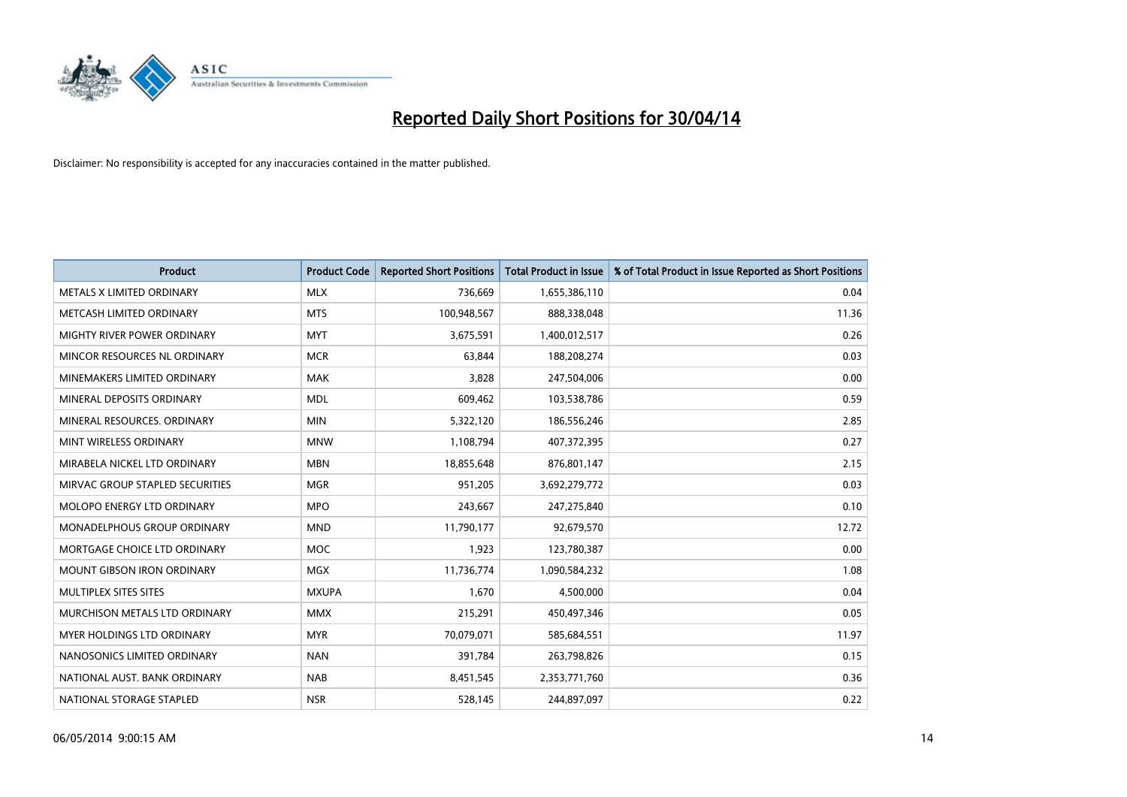

| <b>Product</b>                     | <b>Product Code</b> | <b>Reported Short Positions</b> | <b>Total Product in Issue</b> | % of Total Product in Issue Reported as Short Positions |
|------------------------------------|---------------------|---------------------------------|-------------------------------|---------------------------------------------------------|
| METALS X LIMITED ORDINARY          | <b>MLX</b>          | 736,669                         | 1,655,386,110                 | 0.04                                                    |
| METCASH LIMITED ORDINARY           | <b>MTS</b>          | 100,948,567                     | 888,338,048                   | 11.36                                                   |
| MIGHTY RIVER POWER ORDINARY        | <b>MYT</b>          | 3,675,591                       | 1,400,012,517                 | 0.26                                                    |
| MINCOR RESOURCES NL ORDINARY       | <b>MCR</b>          | 63,844                          | 188,208,274                   | 0.03                                                    |
| MINEMAKERS LIMITED ORDINARY        | <b>MAK</b>          | 3,828                           | 247,504,006                   | 0.00                                                    |
| MINERAL DEPOSITS ORDINARY          | <b>MDL</b>          | 609,462                         | 103,538,786                   | 0.59                                                    |
| MINERAL RESOURCES, ORDINARY        | <b>MIN</b>          | 5,322,120                       | 186,556,246                   | 2.85                                                    |
| MINT WIRELESS ORDINARY             | <b>MNW</b>          | 1,108,794                       | 407,372,395                   | 0.27                                                    |
| MIRABELA NICKEL LTD ORDINARY       | <b>MBN</b>          | 18,855,648                      | 876,801,147                   | 2.15                                                    |
| MIRVAC GROUP STAPLED SECURITIES    | <b>MGR</b>          | 951,205                         | 3,692,279,772                 | 0.03                                                    |
| MOLOPO ENERGY LTD ORDINARY         | <b>MPO</b>          | 243,667                         | 247,275,840                   | 0.10                                                    |
| <b>MONADELPHOUS GROUP ORDINARY</b> | <b>MND</b>          | 11,790,177                      | 92,679,570                    | 12.72                                                   |
| MORTGAGE CHOICE LTD ORDINARY       | MOC                 | 1,923                           | 123,780,387                   | 0.00                                                    |
| <b>MOUNT GIBSON IRON ORDINARY</b>  | <b>MGX</b>          | 11,736,774                      | 1,090,584,232                 | 1.08                                                    |
| MULTIPLEX SITES SITES              | <b>MXUPA</b>        | 1,670                           | 4,500,000                     | 0.04                                                    |
| MURCHISON METALS LTD ORDINARY      | <b>MMX</b>          | 215,291                         | 450,497,346                   | 0.05                                                    |
| MYER HOLDINGS LTD ORDINARY         | <b>MYR</b>          | 70,079,071                      | 585,684,551                   | 11.97                                                   |
| NANOSONICS LIMITED ORDINARY        | <b>NAN</b>          | 391,784                         | 263,798,826                   | 0.15                                                    |
| NATIONAL AUST, BANK ORDINARY       | <b>NAB</b>          | 8,451,545                       | 2,353,771,760                 | 0.36                                                    |
| NATIONAL STORAGE STAPLED           | <b>NSR</b>          | 528,145                         | 244,897,097                   | 0.22                                                    |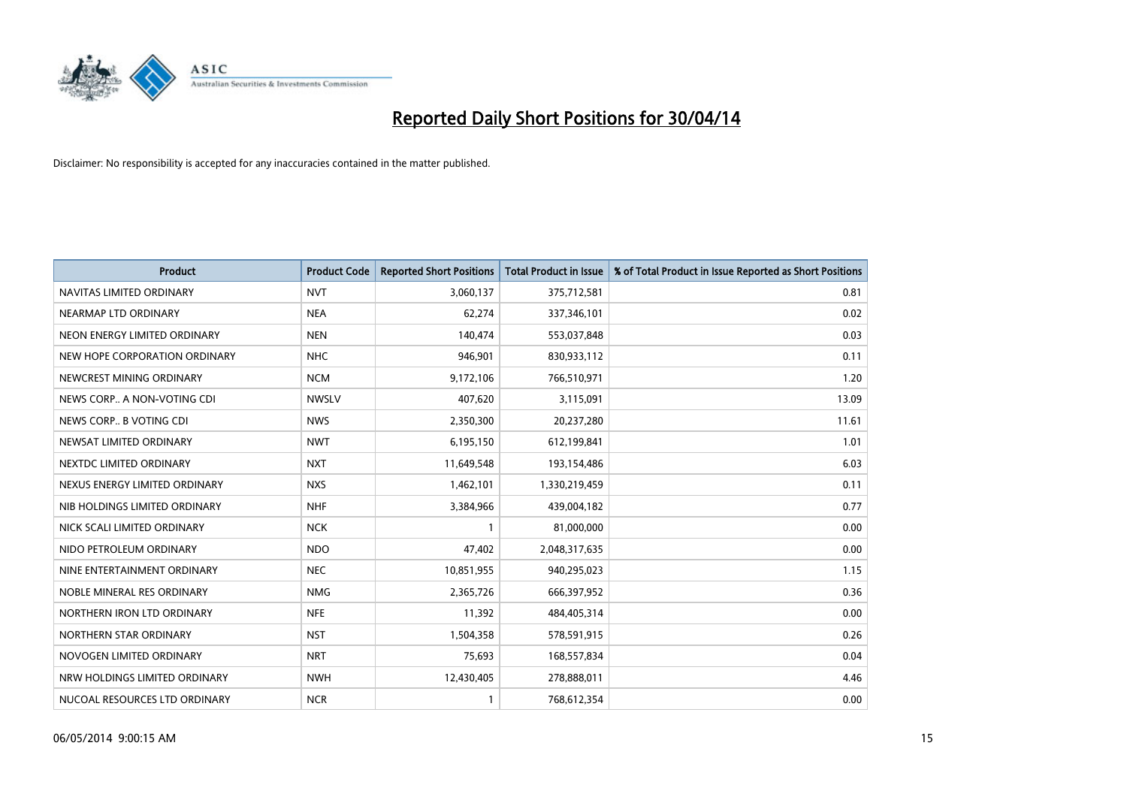

| <b>Product</b>                | <b>Product Code</b> | <b>Reported Short Positions</b> | <b>Total Product in Issue</b> | % of Total Product in Issue Reported as Short Positions |
|-------------------------------|---------------------|---------------------------------|-------------------------------|---------------------------------------------------------|
| NAVITAS LIMITED ORDINARY      | <b>NVT</b>          | 3,060,137                       | 375,712,581                   | 0.81                                                    |
| NEARMAP LTD ORDINARY          | <b>NEA</b>          | 62,274                          | 337,346,101                   | 0.02                                                    |
| NEON ENERGY LIMITED ORDINARY  | <b>NEN</b>          | 140,474                         | 553,037,848                   | 0.03                                                    |
| NEW HOPE CORPORATION ORDINARY | <b>NHC</b>          | 946,901                         | 830,933,112                   | 0.11                                                    |
| NEWCREST MINING ORDINARY      | <b>NCM</b>          | 9,172,106                       | 766,510,971                   | 1.20                                                    |
| NEWS CORP A NON-VOTING CDI    | <b>NWSLV</b>        | 407,620                         | 3,115,091                     | 13.09                                                   |
| NEWS CORP B VOTING CDI        | <b>NWS</b>          | 2,350,300                       | 20,237,280                    | 11.61                                                   |
| NEWSAT LIMITED ORDINARY       | <b>NWT</b>          | 6,195,150                       | 612,199,841                   | 1.01                                                    |
| NEXTDC LIMITED ORDINARY       | <b>NXT</b>          | 11,649,548                      | 193,154,486                   | 6.03                                                    |
| NEXUS ENERGY LIMITED ORDINARY | <b>NXS</b>          | 1,462,101                       | 1,330,219,459                 | 0.11                                                    |
| NIB HOLDINGS LIMITED ORDINARY | <b>NHF</b>          | 3,384,966                       | 439,004,182                   | 0.77                                                    |
| NICK SCALI LIMITED ORDINARY   | <b>NCK</b>          | $\mathbf{1}$                    | 81,000,000                    | 0.00                                                    |
| NIDO PETROLEUM ORDINARY       | <b>NDO</b>          | 47,402                          | 2,048,317,635                 | 0.00                                                    |
| NINE ENTERTAINMENT ORDINARY   | <b>NEC</b>          | 10,851,955                      | 940,295,023                   | 1.15                                                    |
| NOBLE MINERAL RES ORDINARY    | <b>NMG</b>          | 2,365,726                       | 666,397,952                   | 0.36                                                    |
| NORTHERN IRON LTD ORDINARY    | <b>NFE</b>          | 11,392                          | 484,405,314                   | 0.00                                                    |
| NORTHERN STAR ORDINARY        | <b>NST</b>          | 1,504,358                       | 578,591,915                   | 0.26                                                    |
| NOVOGEN LIMITED ORDINARY      | <b>NRT</b>          | 75.693                          | 168,557,834                   | 0.04                                                    |
| NRW HOLDINGS LIMITED ORDINARY | <b>NWH</b>          | 12,430,405                      | 278,888,011                   | 4.46                                                    |
| NUCOAL RESOURCES LTD ORDINARY | <b>NCR</b>          |                                 | 768,612,354                   | 0.00                                                    |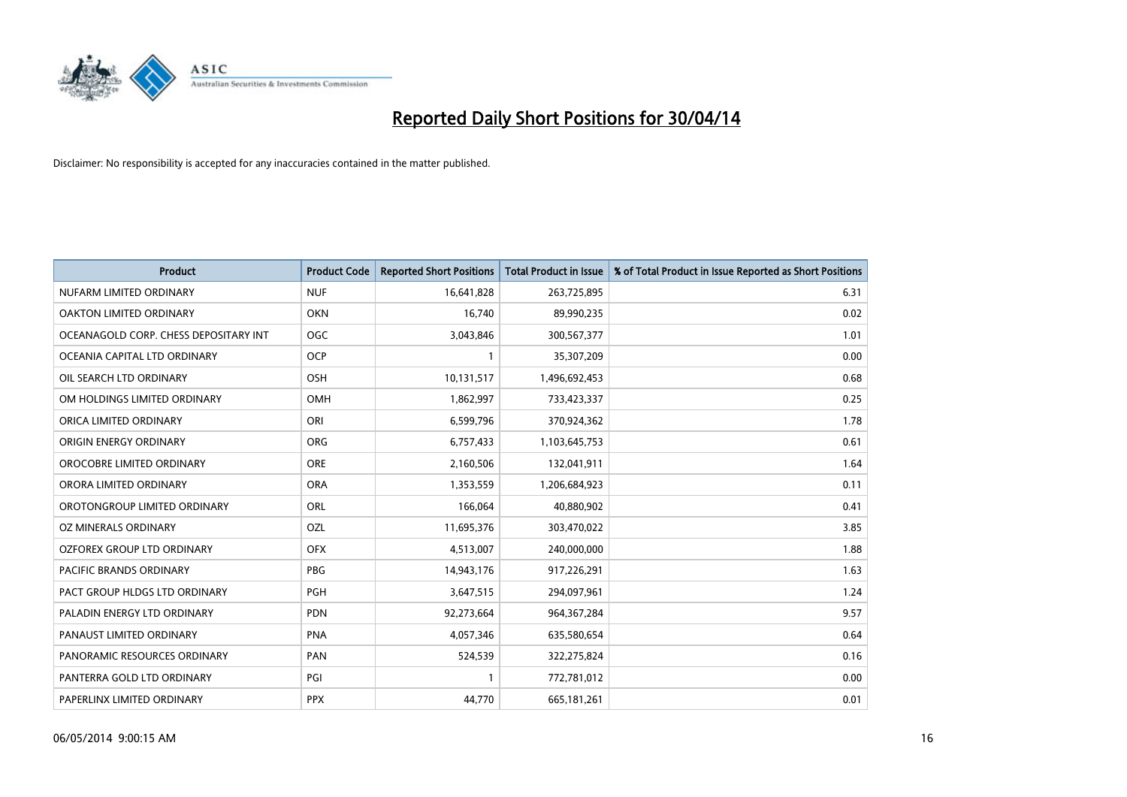

| <b>Product</b>                        | <b>Product Code</b> | <b>Reported Short Positions</b> | <b>Total Product in Issue</b> | % of Total Product in Issue Reported as Short Positions |
|---------------------------------------|---------------------|---------------------------------|-------------------------------|---------------------------------------------------------|
| NUFARM LIMITED ORDINARY               | <b>NUF</b>          | 16,641,828                      | 263,725,895                   | 6.31                                                    |
| OAKTON LIMITED ORDINARY               | <b>OKN</b>          | 16.740                          | 89,990,235                    | 0.02                                                    |
| OCEANAGOLD CORP. CHESS DEPOSITARY INT | <b>OGC</b>          | 3,043,846                       | 300,567,377                   | 1.01                                                    |
| OCEANIA CAPITAL LTD ORDINARY          | <b>OCP</b>          | $\mathbf{1}$                    | 35,307,209                    | 0.00                                                    |
| OIL SEARCH LTD ORDINARY               | OSH                 | 10,131,517                      | 1,496,692,453                 | 0.68                                                    |
| OM HOLDINGS LIMITED ORDINARY          | <b>OMH</b>          | 1,862,997                       | 733,423,337                   | 0.25                                                    |
| ORICA LIMITED ORDINARY                | ORI                 | 6,599,796                       | 370,924,362                   | 1.78                                                    |
| ORIGIN ENERGY ORDINARY                | ORG                 | 6,757,433                       | 1,103,645,753                 | 0.61                                                    |
| OROCOBRE LIMITED ORDINARY             | <b>ORE</b>          | 2,160,506                       | 132,041,911                   | 1.64                                                    |
| ORORA LIMITED ORDINARY                | <b>ORA</b>          | 1,353,559                       | 1,206,684,923                 | 0.11                                                    |
| OROTONGROUP LIMITED ORDINARY          | ORL                 | 166,064                         | 40,880,902                    | 0.41                                                    |
| OZ MINERALS ORDINARY                  | <b>OZL</b>          | 11,695,376                      | 303,470,022                   | 3.85                                                    |
| OZFOREX GROUP LTD ORDINARY            | <b>OFX</b>          | 4,513,007                       | 240,000,000                   | 1.88                                                    |
| <b>PACIFIC BRANDS ORDINARY</b>        | <b>PBG</b>          | 14,943,176                      | 917,226,291                   | 1.63                                                    |
| PACT GROUP HLDGS LTD ORDINARY         | <b>PGH</b>          | 3,647,515                       | 294,097,961                   | 1.24                                                    |
| PALADIN ENERGY LTD ORDINARY           | <b>PDN</b>          | 92,273,664                      | 964, 367, 284                 | 9.57                                                    |
| PANAUST LIMITED ORDINARY              | <b>PNA</b>          | 4,057,346                       | 635,580,654                   | 0.64                                                    |
| PANORAMIC RESOURCES ORDINARY          | PAN                 | 524,539                         | 322,275,824                   | 0.16                                                    |
| PANTERRA GOLD LTD ORDINARY            | PGI                 | $\mathbf{1}$                    | 772,781,012                   | 0.00                                                    |
| PAPERLINX LIMITED ORDINARY            | <b>PPX</b>          | 44,770                          | 665, 181, 261                 | 0.01                                                    |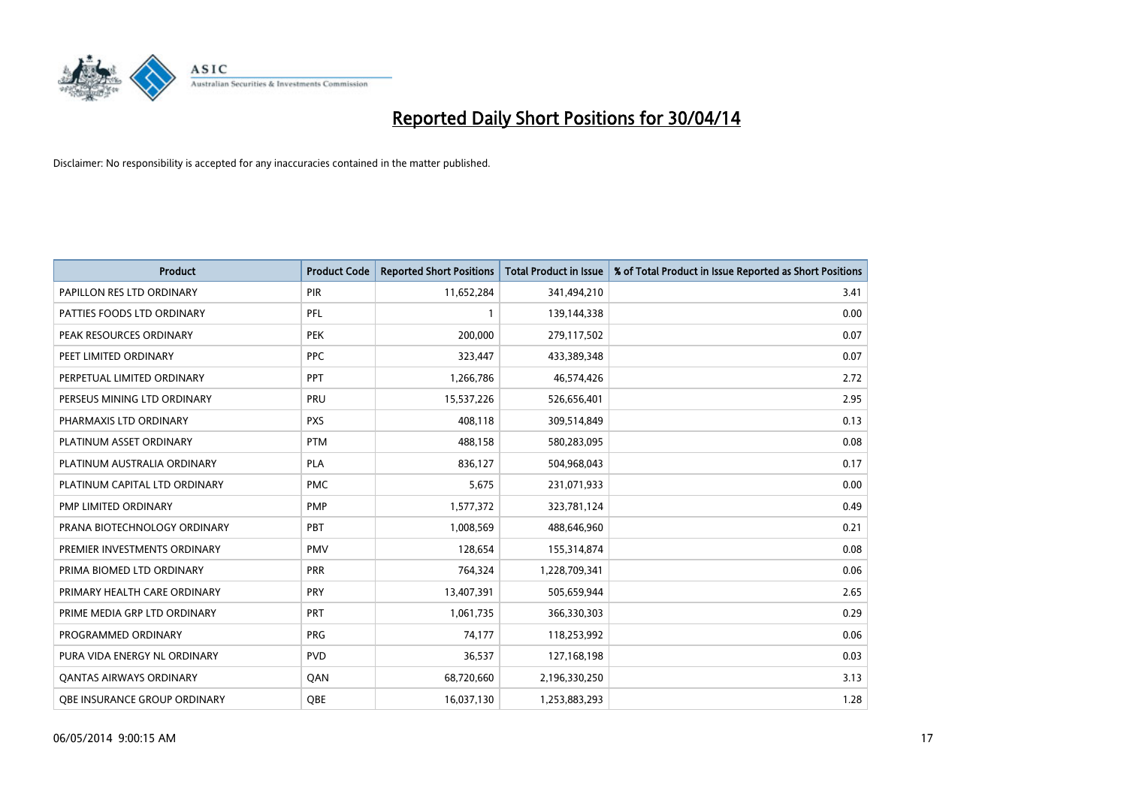

| <b>Product</b>                      | <b>Product Code</b> | <b>Reported Short Positions</b> | <b>Total Product in Issue</b> | % of Total Product in Issue Reported as Short Positions |
|-------------------------------------|---------------------|---------------------------------|-------------------------------|---------------------------------------------------------|
| PAPILLON RES LTD ORDINARY           | <b>PIR</b>          | 11,652,284                      | 341,494,210                   | 3.41                                                    |
| PATTIES FOODS LTD ORDINARY          | <b>PFL</b>          |                                 | 139,144,338                   | 0.00                                                    |
| PEAK RESOURCES ORDINARY             | <b>PEK</b>          | 200,000                         | 279,117,502                   | 0.07                                                    |
| PEET LIMITED ORDINARY               | <b>PPC</b>          | 323,447                         | 433,389,348                   | 0.07                                                    |
| PERPETUAL LIMITED ORDINARY          | <b>PPT</b>          | 1,266,786                       | 46,574,426                    | 2.72                                                    |
| PERSEUS MINING LTD ORDINARY         | PRU                 | 15,537,226                      | 526,656,401                   | 2.95                                                    |
| PHARMAXIS LTD ORDINARY              | <b>PXS</b>          | 408,118                         | 309,514,849                   | 0.13                                                    |
| PLATINUM ASSET ORDINARY             | <b>PTM</b>          | 488,158                         | 580,283,095                   | 0.08                                                    |
| PLATINUM AUSTRALIA ORDINARY         | <b>PLA</b>          | 836,127                         | 504,968,043                   | 0.17                                                    |
| PLATINUM CAPITAL LTD ORDINARY       | <b>PMC</b>          | 5,675                           | 231,071,933                   | 0.00                                                    |
| PMP LIMITED ORDINARY                | <b>PMP</b>          | 1,577,372                       | 323,781,124                   | 0.49                                                    |
| PRANA BIOTECHNOLOGY ORDINARY        | PBT                 | 1,008,569                       | 488,646,960                   | 0.21                                                    |
| PREMIER INVESTMENTS ORDINARY        | <b>PMV</b>          | 128,654                         | 155,314,874                   | 0.08                                                    |
| PRIMA BIOMED LTD ORDINARY           | <b>PRR</b>          | 764,324                         | 1,228,709,341                 | 0.06                                                    |
| PRIMARY HEALTH CARE ORDINARY        | <b>PRY</b>          | 13,407,391                      | 505,659,944                   | 2.65                                                    |
| PRIME MEDIA GRP LTD ORDINARY        | PRT                 | 1,061,735                       | 366,330,303                   | 0.29                                                    |
| PROGRAMMED ORDINARY                 | <b>PRG</b>          | 74,177                          | 118,253,992                   | 0.06                                                    |
| PURA VIDA ENERGY NL ORDINARY        | <b>PVD</b>          | 36,537                          | 127,168,198                   | 0.03                                                    |
| <b>QANTAS AIRWAYS ORDINARY</b>      | QAN                 | 68,720,660                      | 2,196,330,250                 | 3.13                                                    |
| <b>QBE INSURANCE GROUP ORDINARY</b> | OBE                 | 16,037,130                      | 1,253,883,293                 | 1.28                                                    |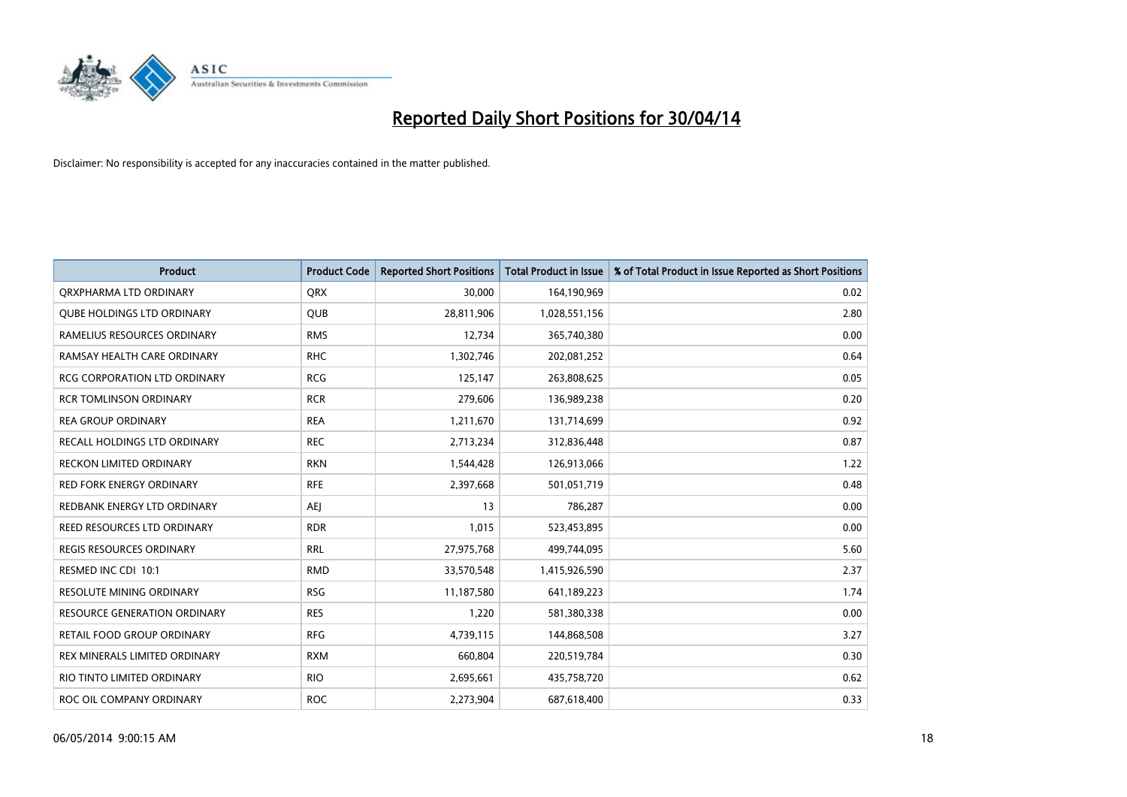

| <b>Product</b>                      | <b>Product Code</b> | <b>Reported Short Positions</b> | <b>Total Product in Issue</b> | % of Total Product in Issue Reported as Short Positions |
|-------------------------------------|---------------------|---------------------------------|-------------------------------|---------------------------------------------------------|
| ORXPHARMA LTD ORDINARY              | <b>QRX</b>          | 30,000                          | 164,190,969                   | 0.02                                                    |
| <b>QUBE HOLDINGS LTD ORDINARY</b>   | QUB                 | 28,811,906                      | 1,028,551,156                 | 2.80                                                    |
| RAMELIUS RESOURCES ORDINARY         | <b>RMS</b>          | 12,734                          | 365,740,380                   | 0.00                                                    |
| RAMSAY HEALTH CARE ORDINARY         | <b>RHC</b>          | 1,302,746                       | 202,081,252                   | 0.64                                                    |
| <b>RCG CORPORATION LTD ORDINARY</b> | <b>RCG</b>          | 125,147                         | 263,808,625                   | 0.05                                                    |
| <b>RCR TOMLINSON ORDINARY</b>       | <b>RCR</b>          | 279,606                         | 136,989,238                   | 0.20                                                    |
| <b>REA GROUP ORDINARY</b>           | <b>REA</b>          | 1,211,670                       | 131,714,699                   | 0.92                                                    |
| RECALL HOLDINGS LTD ORDINARY        | <b>REC</b>          | 2,713,234                       | 312,836,448                   | 0.87                                                    |
| <b>RECKON LIMITED ORDINARY</b>      | <b>RKN</b>          | 1,544,428                       | 126,913,066                   | 1.22                                                    |
| <b>RED FORK ENERGY ORDINARY</b>     | <b>RFE</b>          | 2,397,668                       | 501,051,719                   | 0.48                                                    |
| REDBANK ENERGY LTD ORDINARY         | AEJ                 | 13                              | 786,287                       | 0.00                                                    |
| REED RESOURCES LTD ORDINARY         | <b>RDR</b>          | 1,015                           | 523,453,895                   | 0.00                                                    |
| REGIS RESOURCES ORDINARY            | <b>RRL</b>          | 27,975,768                      | 499,744,095                   | 5.60                                                    |
| RESMED INC CDI 10:1                 | <b>RMD</b>          | 33,570,548                      | 1,415,926,590                 | 2.37                                                    |
| <b>RESOLUTE MINING ORDINARY</b>     | <b>RSG</b>          | 11,187,580                      | 641,189,223                   | 1.74                                                    |
| <b>RESOURCE GENERATION ORDINARY</b> | <b>RES</b>          | 1,220                           | 581,380,338                   | 0.00                                                    |
| RETAIL FOOD GROUP ORDINARY          | <b>RFG</b>          | 4,739,115                       | 144,868,508                   | 3.27                                                    |
| REX MINERALS LIMITED ORDINARY       | <b>RXM</b>          | 660,804                         | 220,519,784                   | 0.30                                                    |
| RIO TINTO LIMITED ORDINARY          | <b>RIO</b>          | 2,695,661                       | 435,758,720                   | 0.62                                                    |
| ROC OIL COMPANY ORDINARY            | <b>ROC</b>          | 2,273,904                       | 687,618,400                   | 0.33                                                    |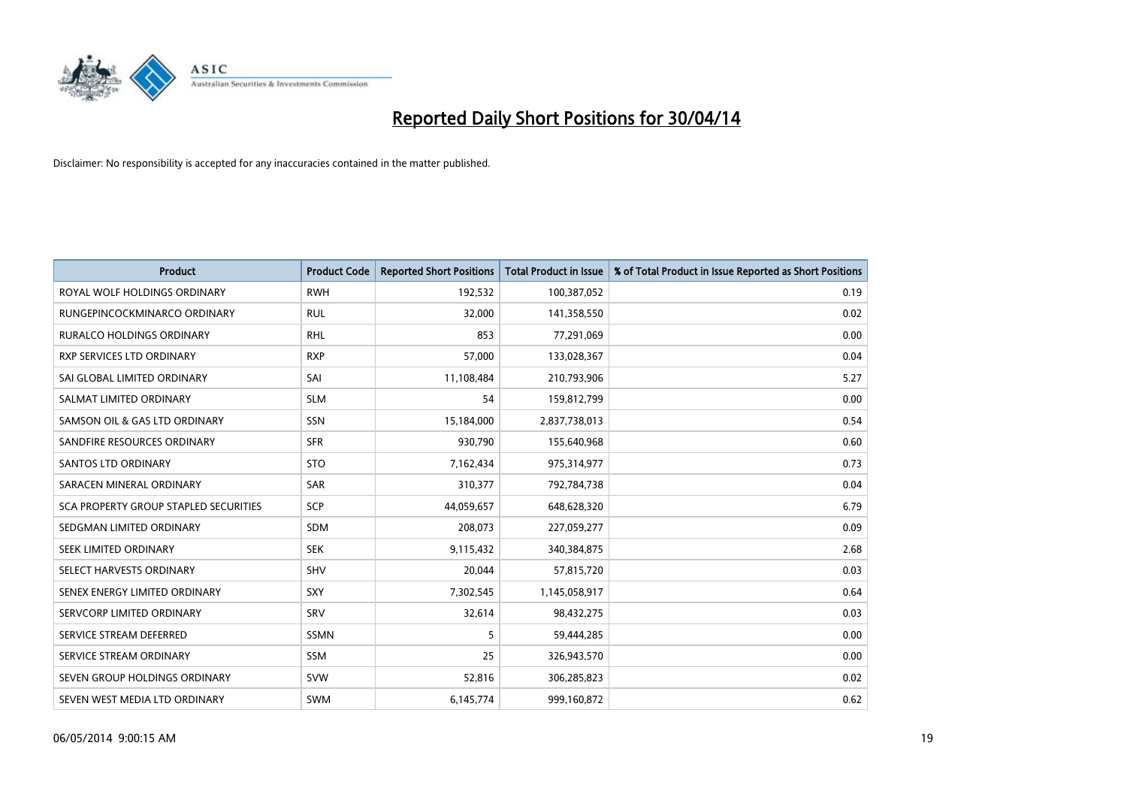

| <b>Product</b>                        | <b>Product Code</b> | <b>Reported Short Positions</b> | <b>Total Product in Issue</b> | % of Total Product in Issue Reported as Short Positions |
|---------------------------------------|---------------------|---------------------------------|-------------------------------|---------------------------------------------------------|
| ROYAL WOLF HOLDINGS ORDINARY          | <b>RWH</b>          | 192,532                         | 100,387,052                   | 0.19                                                    |
| RUNGEPINCOCKMINARCO ORDINARY          | <b>RUL</b>          | 32,000                          | 141,358,550                   | 0.02                                                    |
| <b>RURALCO HOLDINGS ORDINARY</b>      | <b>RHL</b>          | 853                             | 77,291,069                    | 0.00                                                    |
| RXP SERVICES LTD ORDINARY             | <b>RXP</b>          | 57,000                          | 133,028,367                   | 0.04                                                    |
| SAI GLOBAL LIMITED ORDINARY           | SAI                 | 11,108,484                      | 210,793,906                   | 5.27                                                    |
| SALMAT LIMITED ORDINARY               | <b>SLM</b>          | 54                              | 159,812,799                   | 0.00                                                    |
| SAMSON OIL & GAS LTD ORDINARY         | SSN                 | 15,184,000                      | 2,837,738,013                 | 0.54                                                    |
| SANDFIRE RESOURCES ORDINARY           | <b>SFR</b>          | 930,790                         | 155,640,968                   | 0.60                                                    |
| <b>SANTOS LTD ORDINARY</b>            | <b>STO</b>          | 7,162,434                       | 975,314,977                   | 0.73                                                    |
| SARACEN MINERAL ORDINARY              | SAR                 | 310,377                         | 792,784,738                   | 0.04                                                    |
| SCA PROPERTY GROUP STAPLED SECURITIES | SCP                 | 44,059,657                      | 648,628,320                   | 6.79                                                    |
| SEDGMAN LIMITED ORDINARY              | SDM                 | 208,073                         | 227,059,277                   | 0.09                                                    |
| SEEK LIMITED ORDINARY                 | <b>SEK</b>          | 9,115,432                       | 340,384,875                   | 2.68                                                    |
| SELECT HARVESTS ORDINARY              | SHV                 | 20,044                          | 57,815,720                    | 0.03                                                    |
| SENEX ENERGY LIMITED ORDINARY         | <b>SXY</b>          | 7,302,545                       | 1,145,058,917                 | 0.64                                                    |
| SERVCORP LIMITED ORDINARY             | SRV                 | 32,614                          | 98,432,275                    | 0.03                                                    |
| SERVICE STREAM DEFERRED               | SSMN                | 5                               | 59,444,285                    | 0.00                                                    |
| SERVICE STREAM ORDINARY               | <b>SSM</b>          | 25                              | 326,943,570                   | 0.00                                                    |
| SEVEN GROUP HOLDINGS ORDINARY         | <b>SVW</b>          | 52,816                          | 306,285,823                   | 0.02                                                    |
| SEVEN WEST MEDIA LTD ORDINARY         | SWM                 | 6,145,774                       | 999,160,872                   | 0.62                                                    |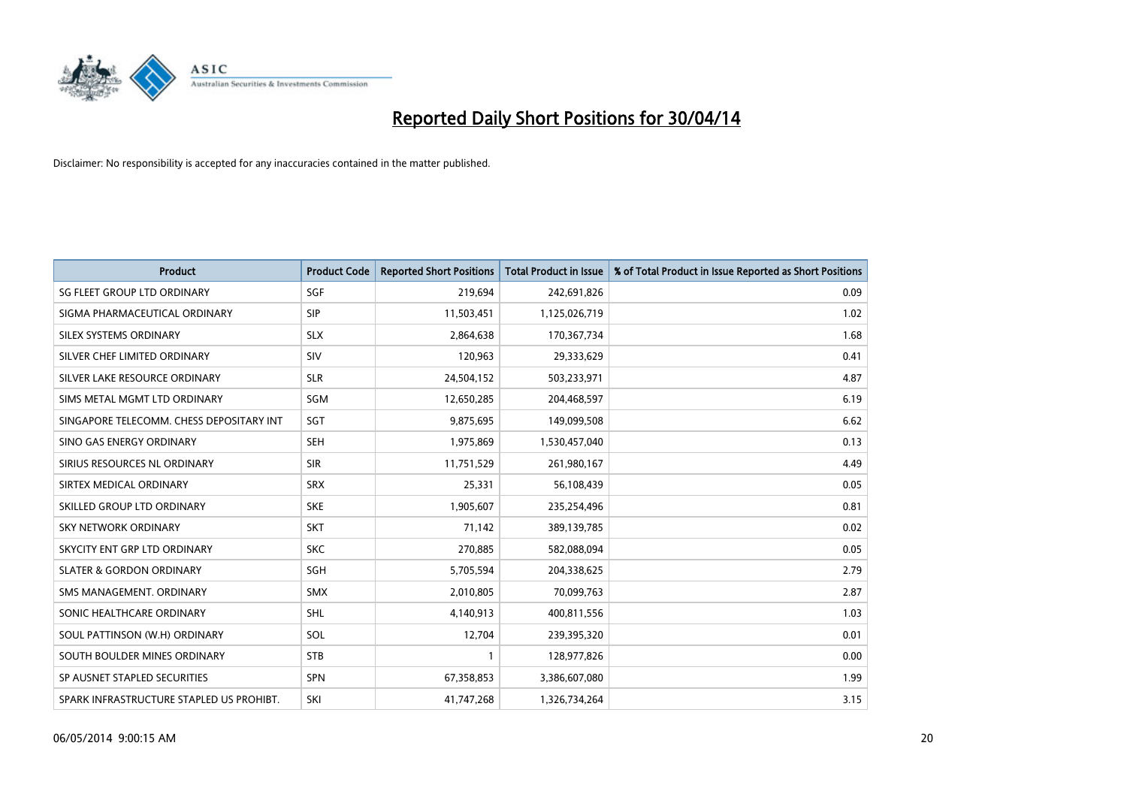

| <b>Product</b>                           | <b>Product Code</b> | <b>Reported Short Positions</b> | <b>Total Product in Issue</b> | % of Total Product in Issue Reported as Short Positions |
|------------------------------------------|---------------------|---------------------------------|-------------------------------|---------------------------------------------------------|
| SG FLEET GROUP LTD ORDINARY              | SGF                 | 219,694                         | 242,691,826                   | 0.09                                                    |
| SIGMA PHARMACEUTICAL ORDINARY            | <b>SIP</b>          | 11,503,451                      | 1,125,026,719                 | 1.02                                                    |
| SILEX SYSTEMS ORDINARY                   | <b>SLX</b>          | 2,864,638                       | 170,367,734                   | 1.68                                                    |
| SILVER CHEF LIMITED ORDINARY             | <b>SIV</b>          | 120,963                         | 29,333,629                    | 0.41                                                    |
| SILVER LAKE RESOURCE ORDINARY            | <b>SLR</b>          | 24,504,152                      | 503,233,971                   | 4.87                                                    |
| SIMS METAL MGMT LTD ORDINARY             | SGM                 | 12,650,285                      | 204,468,597                   | 6.19                                                    |
| SINGAPORE TELECOMM. CHESS DEPOSITARY INT | SGT                 | 9,875,695                       | 149,099,508                   | 6.62                                                    |
| SINO GAS ENERGY ORDINARY                 | <b>SEH</b>          | 1,975,869                       | 1,530,457,040                 | 0.13                                                    |
| SIRIUS RESOURCES NL ORDINARY             | <b>SIR</b>          | 11,751,529                      | 261,980,167                   | 4.49                                                    |
| SIRTEX MEDICAL ORDINARY                  | <b>SRX</b>          | 25,331                          | 56,108,439                    | 0.05                                                    |
| SKILLED GROUP LTD ORDINARY               | <b>SKE</b>          | 1,905,607                       | 235,254,496                   | 0.81                                                    |
| <b>SKY NETWORK ORDINARY</b>              | <b>SKT</b>          | 71,142                          | 389,139,785                   | 0.02                                                    |
| SKYCITY ENT GRP LTD ORDINARY             | <b>SKC</b>          | 270,885                         | 582,088,094                   | 0.05                                                    |
| <b>SLATER &amp; GORDON ORDINARY</b>      | SGH                 | 5,705,594                       | 204,338,625                   | 2.79                                                    |
| SMS MANAGEMENT, ORDINARY                 | <b>SMX</b>          | 2,010,805                       | 70,099,763                    | 2.87                                                    |
| SONIC HEALTHCARE ORDINARY                | <b>SHL</b>          | 4,140,913                       | 400,811,556                   | 1.03                                                    |
| SOUL PATTINSON (W.H) ORDINARY            | SOL                 | 12,704                          | 239,395,320                   | 0.01                                                    |
| SOUTH BOULDER MINES ORDINARY             | <b>STB</b>          | 1                               | 128,977,826                   | 0.00                                                    |
| SP AUSNET STAPLED SECURITIES             | <b>SPN</b>          | 67,358,853                      | 3,386,607,080                 | 1.99                                                    |
| SPARK INFRASTRUCTURE STAPLED US PROHIBT. | SKI                 | 41,747,268                      | 1,326,734,264                 | 3.15                                                    |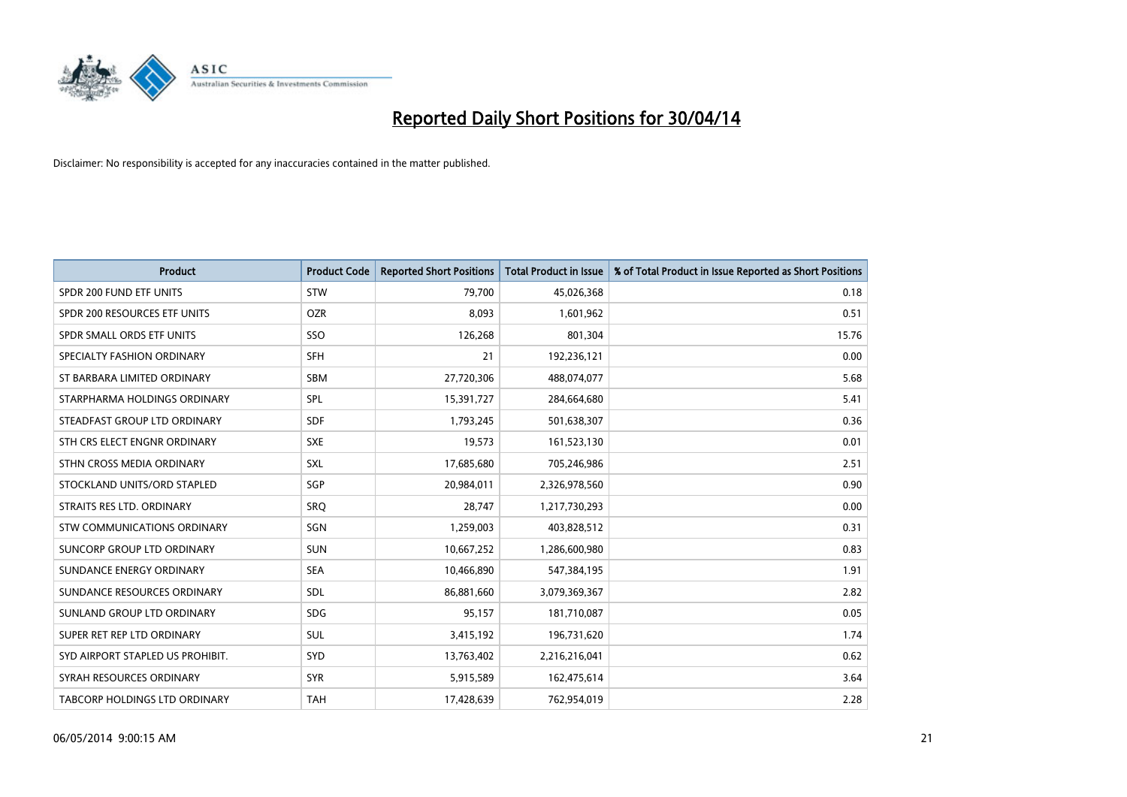

| <b>Product</b>                       | <b>Product Code</b> | <b>Reported Short Positions</b> | <b>Total Product in Issue</b> | % of Total Product in Issue Reported as Short Positions |
|--------------------------------------|---------------------|---------------------------------|-------------------------------|---------------------------------------------------------|
| SPDR 200 FUND ETF UNITS              | <b>STW</b>          | 79,700                          | 45,026,368                    | 0.18                                                    |
| SPDR 200 RESOURCES ETF UNITS         | <b>OZR</b>          | 8,093                           | 1,601,962                     | 0.51                                                    |
| SPDR SMALL ORDS ETF UNITS            | SSO                 | 126,268                         | 801,304                       | 15.76                                                   |
| SPECIALTY FASHION ORDINARY           | SFH                 | 21                              | 192,236,121                   | 0.00                                                    |
| ST BARBARA LIMITED ORDINARY          | <b>SBM</b>          | 27,720,306                      | 488,074,077                   | 5.68                                                    |
| STARPHARMA HOLDINGS ORDINARY         | <b>SPL</b>          | 15,391,727                      | 284,664,680                   | 5.41                                                    |
| STEADFAST GROUP LTD ORDINARY         | <b>SDF</b>          | 1,793,245                       | 501,638,307                   | 0.36                                                    |
| STH CRS ELECT ENGNR ORDINARY         | <b>SXE</b>          | 19,573                          | 161,523,130                   | 0.01                                                    |
| STHN CROSS MEDIA ORDINARY            | <b>SXL</b>          | 17,685,680                      | 705,246,986                   | 2.51                                                    |
| STOCKLAND UNITS/ORD STAPLED          | SGP                 | 20,984,011                      | 2,326,978,560                 | 0.90                                                    |
| STRAITS RES LTD. ORDINARY            | SRQ                 | 28,747                          | 1,217,730,293                 | 0.00                                                    |
| STW COMMUNICATIONS ORDINARY          | SGN                 | 1,259,003                       | 403,828,512                   | 0.31                                                    |
| SUNCORP GROUP LTD ORDINARY           | <b>SUN</b>          | 10,667,252                      | 1,286,600,980                 | 0.83                                                    |
| SUNDANCE ENERGY ORDINARY             | <b>SEA</b>          | 10,466,890                      | 547,384,195                   | 1.91                                                    |
| SUNDANCE RESOURCES ORDINARY          | <b>SDL</b>          | 86,881,660                      | 3,079,369,367                 | 2.82                                                    |
| SUNLAND GROUP LTD ORDINARY           | <b>SDG</b>          | 95,157                          | 181,710,087                   | 0.05                                                    |
| SUPER RET REP LTD ORDINARY           | SUL                 | 3,415,192                       | 196,731,620                   | 1.74                                                    |
| SYD AIRPORT STAPLED US PROHIBIT.     | <b>SYD</b>          | 13,763,402                      | 2,216,216,041                 | 0.62                                                    |
| SYRAH RESOURCES ORDINARY             | <b>SYR</b>          | 5,915,589                       | 162,475,614                   | 3.64                                                    |
| <b>TABCORP HOLDINGS LTD ORDINARY</b> | <b>TAH</b>          | 17,428,639                      | 762,954,019                   | 2.28                                                    |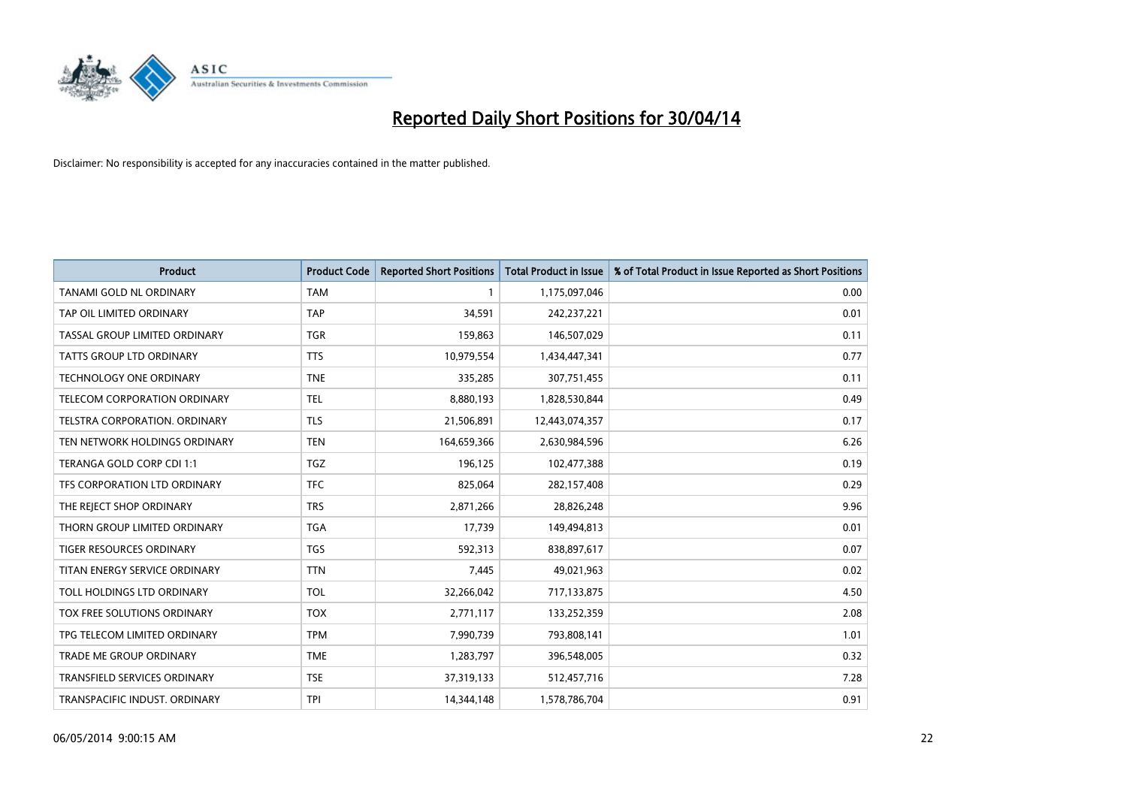

| <b>Product</b>                      | <b>Product Code</b> | <b>Reported Short Positions</b> | <b>Total Product in Issue</b> | % of Total Product in Issue Reported as Short Positions |
|-------------------------------------|---------------------|---------------------------------|-------------------------------|---------------------------------------------------------|
| <b>TANAMI GOLD NL ORDINARY</b>      | <b>TAM</b>          | 1                               | 1,175,097,046                 | 0.00                                                    |
| TAP OIL LIMITED ORDINARY            | <b>TAP</b>          | 34,591                          | 242,237,221                   | 0.01                                                    |
| TASSAL GROUP LIMITED ORDINARY       | <b>TGR</b>          | 159,863                         | 146,507,029                   | 0.11                                                    |
| TATTS GROUP LTD ORDINARY            | <b>TTS</b>          | 10,979,554                      | 1,434,447,341                 | 0.77                                                    |
| <b>TECHNOLOGY ONE ORDINARY</b>      | <b>TNE</b>          | 335,285                         | 307,751,455                   | 0.11                                                    |
| TELECOM CORPORATION ORDINARY        | <b>TEL</b>          | 8,880,193                       | 1,828,530,844                 | 0.49                                                    |
| TELSTRA CORPORATION, ORDINARY       | <b>TLS</b>          | 21,506,891                      | 12,443,074,357                | 0.17                                                    |
| TEN NETWORK HOLDINGS ORDINARY       | <b>TEN</b>          | 164,659,366                     | 2,630,984,596                 | 6.26                                                    |
| TERANGA GOLD CORP CDI 1:1           | <b>TGZ</b>          | 196,125                         | 102,477,388                   | 0.19                                                    |
| TFS CORPORATION LTD ORDINARY        | <b>TFC</b>          | 825,064                         | 282,157,408                   | 0.29                                                    |
| THE REJECT SHOP ORDINARY            | <b>TRS</b>          | 2,871,266                       | 28,826,248                    | 9.96                                                    |
| THORN GROUP LIMITED ORDINARY        | <b>TGA</b>          | 17,739                          | 149,494,813                   | 0.01                                                    |
| TIGER RESOURCES ORDINARY            | <b>TGS</b>          | 592,313                         | 838,897,617                   | 0.07                                                    |
| TITAN ENERGY SERVICE ORDINARY       | <b>TTN</b>          | 7,445                           | 49,021,963                    | 0.02                                                    |
| TOLL HOLDINGS LTD ORDINARY          | <b>TOL</b>          | 32,266,042                      | 717,133,875                   | 4.50                                                    |
| TOX FREE SOLUTIONS ORDINARY         | <b>TOX</b>          | 2,771,117                       | 133,252,359                   | 2.08                                                    |
| TPG TELECOM LIMITED ORDINARY        | <b>TPM</b>          | 7,990,739                       | 793,808,141                   | 1.01                                                    |
| TRADE ME GROUP ORDINARY             | <b>TME</b>          | 1,283,797                       | 396,548,005                   | 0.32                                                    |
| <b>TRANSFIELD SERVICES ORDINARY</b> | <b>TSE</b>          | 37,319,133                      | 512,457,716                   | 7.28                                                    |
| TRANSPACIFIC INDUST. ORDINARY       | TPI                 | 14,344,148                      | 1,578,786,704                 | 0.91                                                    |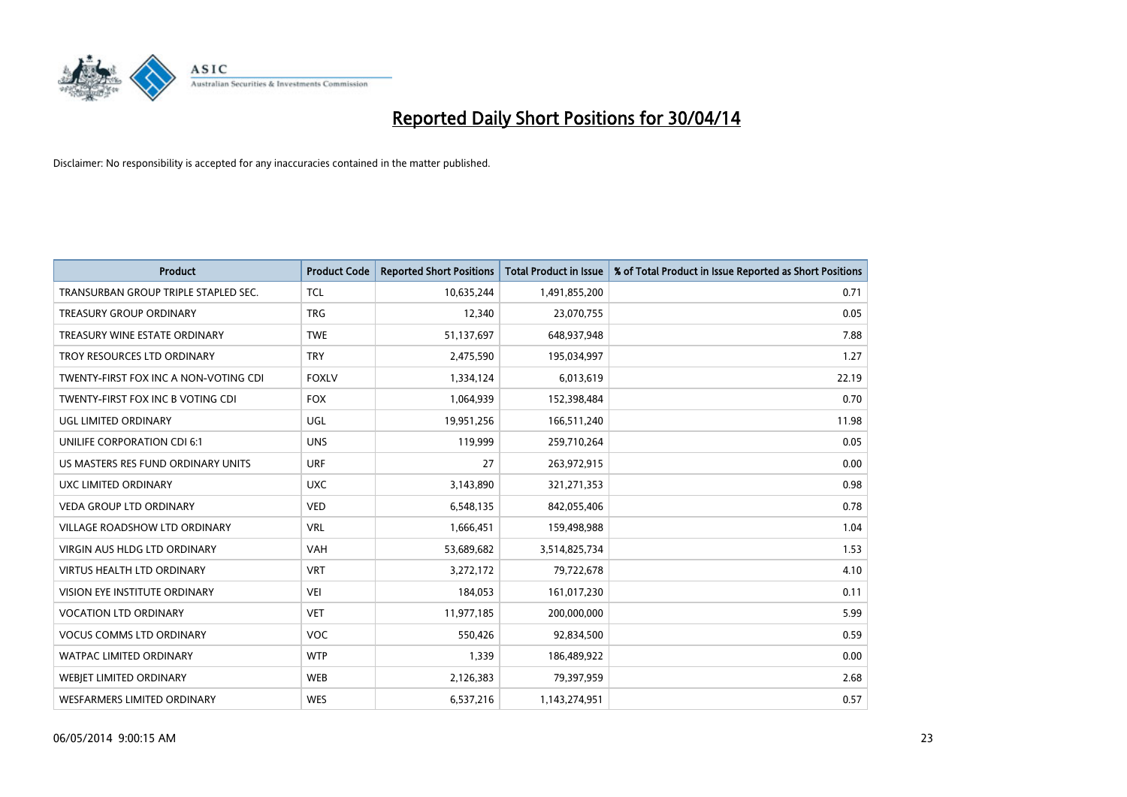

| <b>Product</b>                        | <b>Product Code</b> | <b>Reported Short Positions</b> | <b>Total Product in Issue</b> | % of Total Product in Issue Reported as Short Positions |
|---------------------------------------|---------------------|---------------------------------|-------------------------------|---------------------------------------------------------|
| TRANSURBAN GROUP TRIPLE STAPLED SEC.  | <b>TCL</b>          | 10,635,244                      | 1,491,855,200                 | 0.71                                                    |
| <b>TREASURY GROUP ORDINARY</b>        | <b>TRG</b>          | 12,340                          | 23,070,755                    | 0.05                                                    |
| TREASURY WINE ESTATE ORDINARY         | <b>TWE</b>          | 51,137,697                      | 648,937,948                   | 7.88                                                    |
| TROY RESOURCES LTD ORDINARY           | <b>TRY</b>          | 2,475,590                       | 195,034,997                   | 1.27                                                    |
| TWENTY-FIRST FOX INC A NON-VOTING CDI | <b>FOXLV</b>        | 1,334,124                       | 6,013,619                     | 22.19                                                   |
| TWENTY-FIRST FOX INC B VOTING CDI     | <b>FOX</b>          | 1,064,939                       | 152,398,484                   | 0.70                                                    |
| UGL LIMITED ORDINARY                  | <b>UGL</b>          | 19,951,256                      | 166,511,240                   | 11.98                                                   |
| UNILIFE CORPORATION CDI 6:1           | <b>UNS</b>          | 119,999                         | 259,710,264                   | 0.05                                                    |
| US MASTERS RES FUND ORDINARY UNITS    | <b>URF</b>          | 27                              | 263,972,915                   | 0.00                                                    |
| UXC LIMITED ORDINARY                  | <b>UXC</b>          | 3,143,890                       | 321,271,353                   | 0.98                                                    |
| VEDA GROUP LTD ORDINARY               | <b>VED</b>          | 6,548,135                       | 842,055,406                   | 0.78                                                    |
| <b>VILLAGE ROADSHOW LTD ORDINARY</b>  | <b>VRL</b>          | 1,666,451                       | 159,498,988                   | 1.04                                                    |
| VIRGIN AUS HLDG LTD ORDINARY          | <b>VAH</b>          | 53,689,682                      | 3,514,825,734                 | 1.53                                                    |
| <b>VIRTUS HEALTH LTD ORDINARY</b>     | <b>VRT</b>          | 3,272,172                       | 79,722,678                    | 4.10                                                    |
| VISION EYE INSTITUTE ORDINARY         | VEI                 | 184,053                         | 161,017,230                   | 0.11                                                    |
| <b>VOCATION LTD ORDINARY</b>          | <b>VET</b>          | 11,977,185                      | 200,000,000                   | 5.99                                                    |
| <b>VOCUS COMMS LTD ORDINARY</b>       | VOC                 | 550,426                         | 92,834,500                    | 0.59                                                    |
| <b>WATPAC LIMITED ORDINARY</b>        | <b>WTP</b>          | 1,339                           | 186,489,922                   | 0.00                                                    |
| WEBJET LIMITED ORDINARY               | <b>WEB</b>          | 2,126,383                       | 79,397,959                    | 2.68                                                    |
| <b>WESFARMERS LIMITED ORDINARY</b>    | <b>WES</b>          | 6,537,216                       | 1,143,274,951                 | 0.57                                                    |